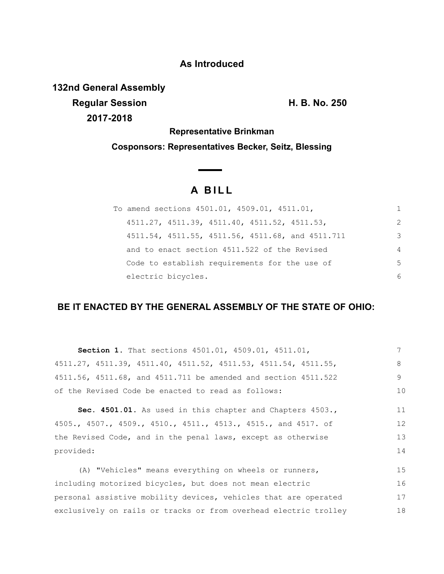## **As Introduced**

**132nd General Assembly Regular Session H. B. No. 250**

**2017-2018**

**Representative Brinkman**

**Cosponsors: Representatives Becker, Seitz, Blessing**

 $\overline{\phantom{a}}$ 

# **A B I L L**

| To amend sections 4501.01, 4509.01, 4511.01,     |                |
|--------------------------------------------------|----------------|
| 4511.27, 4511.39, 4511.40, 4511.52, 4511.53,     | $\mathcal{P}$  |
| 4511.54, 4511.55, 4511.56, 4511.68, and 4511.711 | 3              |
| and to enact section 4511.522 of the Revised     | $\overline{4}$ |
| Code to establish requirements for the use of    | 5              |
| electric bicycles.                               | 6              |

## **BE IT ENACTED BY THE GENERAL ASSEMBLY OF THE STATE OF OHIO:**

| Section 1. That sections 4501.01, 4509.01, 4511.01,              | 7  |
|------------------------------------------------------------------|----|
| 4511.27, 4511.39, 4511.40, 4511.52, 4511.53, 4511.54, 4511.55,   | 8  |
| 4511.56, 4511.68, and 4511.711 be amended and section 4511.522   | 9  |
| of the Revised Code be enacted to read as follows:               | 10 |
| Sec. 4501.01. As used in this chapter and Chapters 4503.,        | 11 |
| 4505., 4507., 4509., 4510., 4511., 4513., 4515., and 4517. of    | 12 |
| the Revised Code, and in the penal laws, except as otherwise     | 13 |
| provided:                                                        | 14 |
| (A) "Vehicles" means everything on wheels or runners,            | 15 |
| including motorized bicycles, but does not mean electric         | 16 |
| personal assistive mobility devices, vehicles that are operated  | 17 |
| exclusively on rails or tracks or from overhead electric trolley | 18 |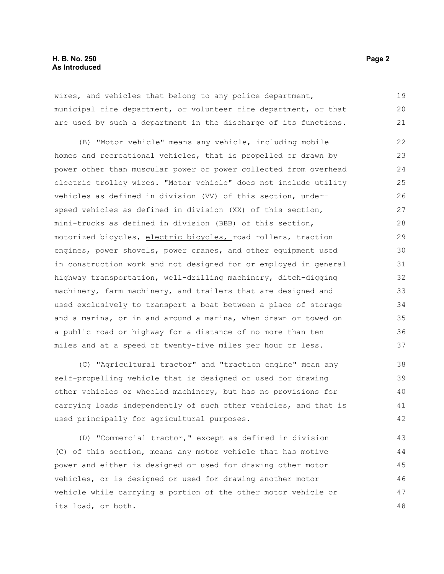wires, and vehicles that belong to any police department, municipal fire department, or volunteer fire department, or that are used by such a department in the discharge of its functions. 19 20 21

(B) "Motor vehicle" means any vehicle, including mobile homes and recreational vehicles, that is propelled or drawn by power other than muscular power or power collected from overhead electric trolley wires. "Motor vehicle" does not include utility vehicles as defined in division (VV) of this section, underspeed vehicles as defined in division (XX) of this section, mini-trucks as defined in division (BBB) of this section, motorized bicycles, electric bicycles, road rollers, traction engines, power shovels, power cranes, and other equipment used in construction work and not designed for or employed in general highway transportation, well-drilling machinery, ditch-digging machinery, farm machinery, and trailers that are designed and used exclusively to transport a boat between a place of storage and a marina, or in and around a marina, when drawn or towed on a public road or highway for a distance of no more than ten miles and at a speed of twenty-five miles per hour or less. 22 23 24 25 26 27 28 29 30 31 32 33 34 35 36 37

(C) "Agricultural tractor" and "traction engine" mean any self-propelling vehicle that is designed or used for drawing other vehicles or wheeled machinery, but has no provisions for carrying loads independently of such other vehicles, and that is used principally for agricultural purposes.

(D) "Commercial tractor," except as defined in division (C) of this section, means any motor vehicle that has motive power and either is designed or used for drawing other motor vehicles, or is designed or used for drawing another motor vehicle while carrying a portion of the other motor vehicle or its load, or both. 43 44 45 46 47 48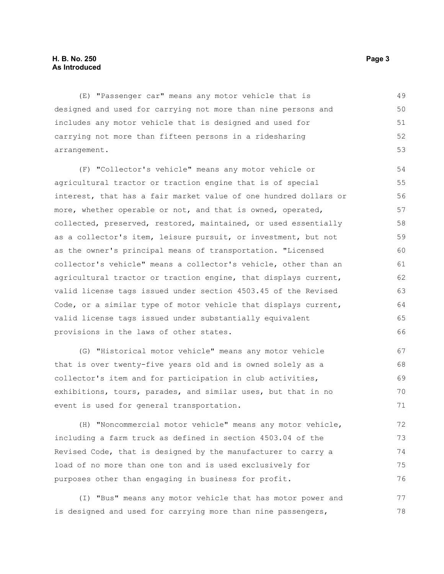#### **H. B. No. 250 Page 3 As Introduced**

(E) "Passenger car" means any motor vehicle that is designed and used for carrying not more than nine persons and includes any motor vehicle that is designed and used for carrying not more than fifteen persons in a ridesharing arrangement. 49 50 51 52 53

(F) "Collector's vehicle" means any motor vehicle or agricultural tractor or traction engine that is of special interest, that has a fair market value of one hundred dollars or more, whether operable or not, and that is owned, operated, collected, preserved, restored, maintained, or used essentially as a collector's item, leisure pursuit, or investment, but not as the owner's principal means of transportation. "Licensed collector's vehicle" means a collector's vehicle, other than an agricultural tractor or traction engine, that displays current, valid license tags issued under section 4503.45 of the Revised Code, or a similar type of motor vehicle that displays current, valid license tags issued under substantially equivalent provisions in the laws of other states. 54 55 56 57 58 59 60 61 62 63 64 65 66

(G) "Historical motor vehicle" means any motor vehicle that is over twenty-five years old and is owned solely as a collector's item and for participation in club activities, exhibitions, tours, parades, and similar uses, but that in no event is used for general transportation. 67 68 69 70 71

(H) "Noncommercial motor vehicle" means any motor vehicle, including a farm truck as defined in section 4503.04 of the Revised Code, that is designed by the manufacturer to carry a load of no more than one ton and is used exclusively for purposes other than engaging in business for profit. 72 73 74 75 76

(I) "Bus" means any motor vehicle that has motor power and is designed and used for carrying more than nine passengers, 77 78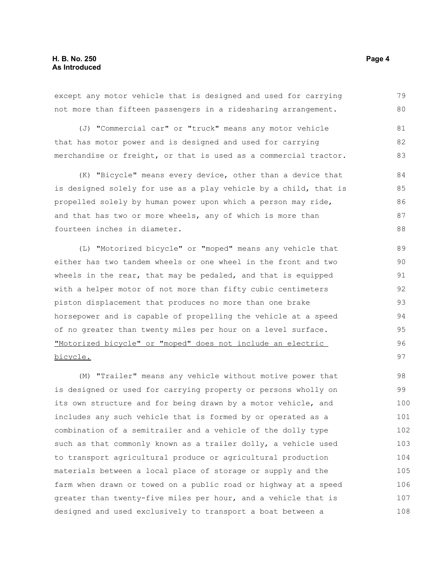except any motor vehicle that is designed and used for carrying not more than fifteen passengers in a ridesharing arrangement. 79 80

(J) "Commercial car" or "truck" means any motor vehicle that has motor power and is designed and used for carrying merchandise or freight, or that is used as a commercial tractor. 81 82 83

(K) "Bicycle" means every device, other than a device that is designed solely for use as a play vehicle by a child, that is propelled solely by human power upon which a person may ride, and that has two or more wheels, any of which is more than fourteen inches in diameter. 84 85 86 87 88

(L) "Motorized bicycle" or "moped" means any vehicle that either has two tandem wheels or one wheel in the front and two wheels in the rear, that may be pedaled, and that is equipped with a helper motor of not more than fifty cubic centimeters piston displacement that produces no more than one brake horsepower and is capable of propelling the vehicle at a speed of no greater than twenty miles per hour on a level surface. "Motorized bicycle" or "moped" does not include an electric bicycle.

(M) "Trailer" means any vehicle without motive power that is designed or used for carrying property or persons wholly on its own structure and for being drawn by a motor vehicle, and includes any such vehicle that is formed by or operated as a combination of a semitrailer and a vehicle of the dolly type such as that commonly known as a trailer dolly, a vehicle used to transport agricultural produce or agricultural production materials between a local place of storage or supply and the farm when drawn or towed on a public road or highway at a speed greater than twenty-five miles per hour, and a vehicle that is designed and used exclusively to transport a boat between a 98 99 100 101 102 103 104 105 106 107 108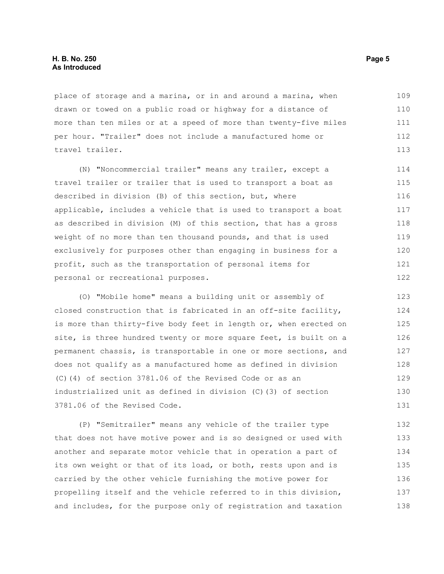#### **H. B. No. 250 Page 5 As Introduced**

place of storage and a marina, or in and around a marina, when drawn or towed on a public road or highway for a distance of more than ten miles or at a speed of more than twenty-five miles per hour. "Trailer" does not include a manufactured home or travel trailer. 109 110 111 112 113

(N) "Noncommercial trailer" means any trailer, except a travel trailer or trailer that is used to transport a boat as described in division (B) of this section, but, where applicable, includes a vehicle that is used to transport a boat as described in division (M) of this section, that has a gross weight of no more than ten thousand pounds, and that is used exclusively for purposes other than engaging in business for a profit, such as the transportation of personal items for personal or recreational purposes. 114 115 116 117 118 119 120 121 122

(O) "Mobile home" means a building unit or assembly of closed construction that is fabricated in an off-site facility, is more than thirty-five body feet in length or, when erected on site, is three hundred twenty or more square feet, is built on a permanent chassis, is transportable in one or more sections, and does not qualify as a manufactured home as defined in division (C)(4) of section 3781.06 of the Revised Code or as an industrialized unit as defined in division (C)(3) of section 3781.06 of the Revised Code. 123 124 125 126 127 128 129 130 131

(P) "Semitrailer" means any vehicle of the trailer type that does not have motive power and is so designed or used with another and separate motor vehicle that in operation a part of its own weight or that of its load, or both, rests upon and is carried by the other vehicle furnishing the motive power for propelling itself and the vehicle referred to in this division, and includes, for the purpose only of registration and taxation 132 133 134 135 136 137 138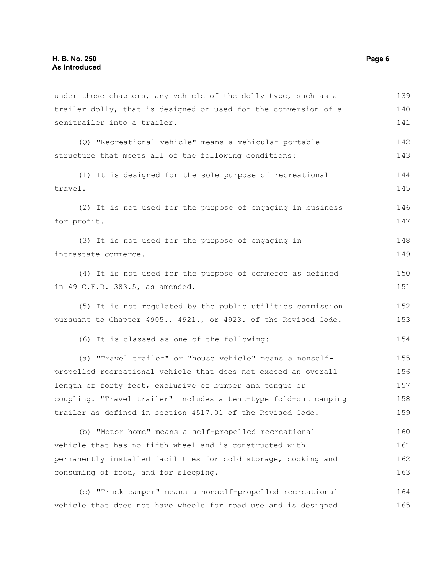| under those chapters, any vehicle of the dolly type, such as a   | 139 |
|------------------------------------------------------------------|-----|
| trailer dolly, that is designed or used for the conversion of a  | 140 |
| semitrailer into a trailer.                                      | 141 |
| (Q) "Recreational vehicle" means a vehicular portable            | 142 |
| structure that meets all of the following conditions:            | 143 |
| (1) It is designed for the sole purpose of recreational          | 144 |
| travel.                                                          | 145 |
| (2) It is not used for the purpose of engaging in business       | 146 |
| for profit.                                                      | 147 |
| (3) It is not used for the purpose of engaging in                | 148 |
| intrastate commerce.                                             | 149 |
| (4) It is not used for the purpose of commerce as defined        | 150 |
| in 49 C.F.R. 383.5, as amended.                                  | 151 |
| (5) It is not regulated by the public utilities commission       | 152 |
| pursuant to Chapter 4905., 4921., or 4923. of the Revised Code.  | 153 |
| (6) It is classed as one of the following:                       | 154 |
| (a) "Travel trailer" or "house vehicle" means a nonself-         | 155 |
| propelled recreational vehicle that does not exceed an overall   | 156 |
| length of forty feet, exclusive of bumper and tonque or          | 157 |
| coupling. "Travel trailer" includes a tent-type fold-out camping | 158 |
| trailer as defined in section 4517.01 of the Revised Code.       | 159 |
| (b) "Motor home" means a self-propelled recreational             | 160 |
| vehicle that has no fifth wheel and is constructed with          | 161 |
| permanently installed facilities for cold storage, cooking and   | 162 |
| consuming of food, and for sleeping.                             | 163 |
| (c) "Truck camper" means a nonself-propelled recreational        | 164 |
| vehicle that does not have wheels for road use and is designed   | 165 |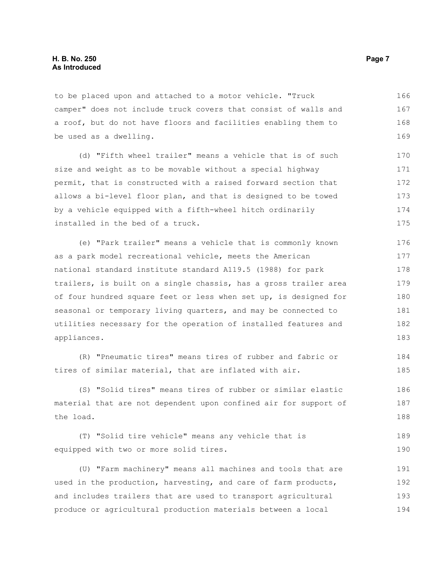to be placed upon and attached to a motor vehicle. "Truck camper" does not include truck covers that consist of walls and a roof, but do not have floors and facilities enabling them to be used as a dwelling. 166 167 168 169

(d) "Fifth wheel trailer" means a vehicle that is of such size and weight as to be movable without a special highway permit, that is constructed with a raised forward section that allows a bi-level floor plan, and that is designed to be towed by a vehicle equipped with a fifth-wheel hitch ordinarily installed in the bed of a truck. 170 171 172 173 174 175

(e) "Park trailer" means a vehicle that is commonly known as a park model recreational vehicle, meets the American national standard institute standard A119.5 (1988) for park trailers, is built on a single chassis, has a gross trailer area of four hundred square feet or less when set up, is designed for seasonal or temporary living quarters, and may be connected to utilities necessary for the operation of installed features and appliances. 176 177 178 179 180 181 182 183

(R) "Pneumatic tires" means tires of rubber and fabric or tires of similar material, that are inflated with air. 184 185

(S) "Solid tires" means tires of rubber or similar elastic material that are not dependent upon confined air for support of the load. 186 187 188

(T) "Solid tire vehicle" means any vehicle that is equipped with two or more solid tires. 189 190

(U) "Farm machinery" means all machines and tools that are used in the production, harvesting, and care of farm products, and includes trailers that are used to transport agricultural produce or agricultural production materials between a local 191 192 193 194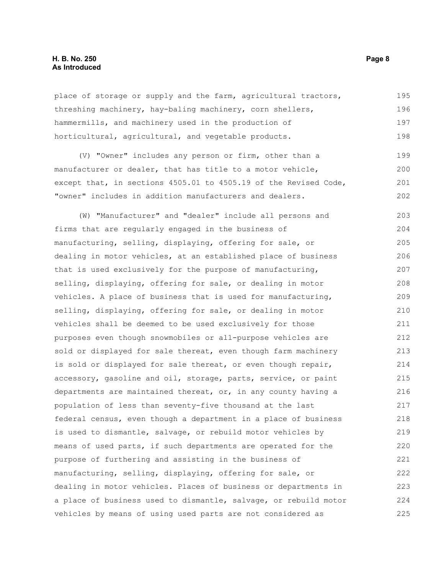#### **H. B. No. 250 Page 8 As Introduced**

place of storage or supply and the farm, agricultural tractors, threshing machinery, hay-baling machinery, corn shellers, hammermills, and machinery used in the production of horticultural, agricultural, and vegetable products. 195 196 197 198

(V) "Owner" includes any person or firm, other than a manufacturer or dealer, that has title to a motor vehicle, except that, in sections 4505.01 to 4505.19 of the Revised Code, "owner" includes in addition manufacturers and dealers. 199 200 201 202

(W) "Manufacturer" and "dealer" include all persons and firms that are regularly engaged in the business of manufacturing, selling, displaying, offering for sale, or dealing in motor vehicles, at an established place of business that is used exclusively for the purpose of manufacturing, selling, displaying, offering for sale, or dealing in motor vehicles. A place of business that is used for manufacturing, selling, displaying, offering for sale, or dealing in motor vehicles shall be deemed to be used exclusively for those purposes even though snowmobiles or all-purpose vehicles are sold or displayed for sale thereat, even though farm machinery is sold or displayed for sale thereat, or even though repair, accessory, gasoline and oil, storage, parts, service, or paint departments are maintained thereat, or, in any county having a population of less than seventy-five thousand at the last federal census, even though a department in a place of business is used to dismantle, salvage, or rebuild motor vehicles by means of used parts, if such departments are operated for the purpose of furthering and assisting in the business of manufacturing, selling, displaying, offering for sale, or dealing in motor vehicles. Places of business or departments in a place of business used to dismantle, salvage, or rebuild motor vehicles by means of using used parts are not considered as 203 204 205 206 207 208 209 210 211 212 213 214 215 216 217 218 219 220 221 222 223 224 225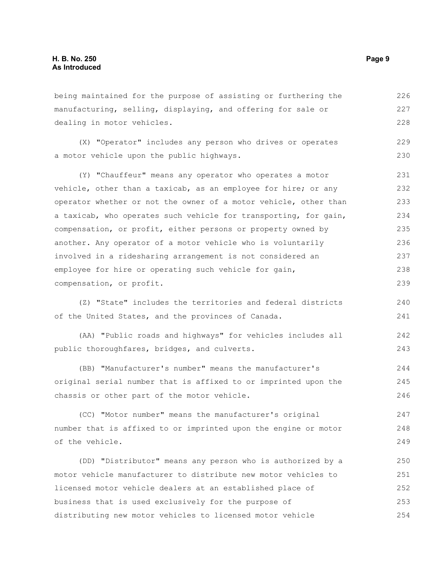being maintained for the purpose of assisting or furthering the manufacturing, selling, displaying, and offering for sale or dealing in motor vehicles. 226 227 228

(X) "Operator" includes any person who drives or operates a motor vehicle upon the public highways. 229 230

(Y) "Chauffeur" means any operator who operates a motor vehicle, other than a taxicab, as an employee for hire; or any operator whether or not the owner of a motor vehicle, other than a taxicab, who operates such vehicle for transporting, for gain, compensation, or profit, either persons or property owned by another. Any operator of a motor vehicle who is voluntarily involved in a ridesharing arrangement is not considered an employee for hire or operating such vehicle for gain, compensation, or profit. 231 232 233 234 235 236 237 238 239

(Z) "State" includes the territories and federal districts of the United States, and the provinces of Canada. 240 241

(AA) "Public roads and highways" for vehicles includes all public thoroughfares, bridges, and culverts. 242 243

(BB) "Manufacturer's number" means the manufacturer's original serial number that is affixed to or imprinted upon the chassis or other part of the motor vehicle. 244 245 246

(CC) "Motor number" means the manufacturer's original number that is affixed to or imprinted upon the engine or motor of the vehicle. 247 248 249

(DD) "Distributor" means any person who is authorized by a motor vehicle manufacturer to distribute new motor vehicles to licensed motor vehicle dealers at an established place of business that is used exclusively for the purpose of distributing new motor vehicles to licensed motor vehicle 250 251 252 253 254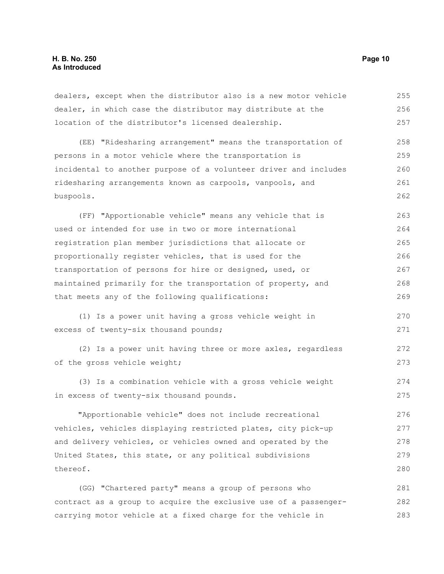dealers, except when the distributor also is a new motor vehicle dealer, in which case the distributor may distribute at the location of the distributor's licensed dealership. (EE) "Ridesharing arrangement" means the transportation of persons in a motor vehicle where the transportation is incidental to another purpose of a volunteer driver and includes ridesharing arrangements known as carpools, vanpools, and buspools. (FF) "Apportionable vehicle" means any vehicle that is used or intended for use in two or more international registration plan member jurisdictions that allocate or proportionally register vehicles, that is used for the transportation of persons for hire or designed, used, or maintained primarily for the transportation of property, and that meets any of the following qualifications: (1) Is a power unit having a gross vehicle weight in excess of twenty-six thousand pounds; (2) Is a power unit having three or more axles, regardless of the gross vehicle weight; (3) Is a combination vehicle with a gross vehicle weight in excess of twenty-six thousand pounds. "Apportionable vehicle" does not include recreational vehicles, vehicles displaying restricted plates, city pick-up and delivery vehicles, or vehicles owned and operated by the United States, this state, or any political subdivisions thereof. (GG) "Chartered party" means a group of persons who contract as a group to acquire the exclusive use of a passenger-255 256 257 258 259 260 261 262 263 264 265 266 267 268 269 270 271 272 273 274 275 276 277 278 279 280 281 282

carrying motor vehicle at a fixed charge for the vehicle in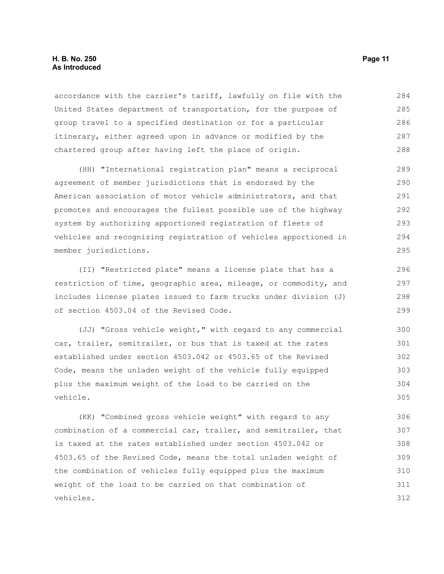#### **H. B. No. 250 Page 11 As Introduced**

accordance with the carrier's tariff, lawfully on file with the United States department of transportation, for the purpose of group travel to a specified destination or for a particular itinerary, either agreed upon in advance or modified by the chartered group after having left the place of origin. 284 285 286 287 288

(HH) "International registration plan" means a reciprocal agreement of member jurisdictions that is endorsed by the American association of motor vehicle administrators, and that promotes and encourages the fullest possible use of the highway system by authorizing apportioned registration of fleets of vehicles and recognizing registration of vehicles apportioned in member jurisdictions.

(II) "Restricted plate" means a license plate that has a restriction of time, geographic area, mileage, or commodity, and includes license plates issued to farm trucks under division (J) of section 4503.04 of the Revised Code.

(JJ) "Gross vehicle weight," with regard to any commercial car, trailer, semitrailer, or bus that is taxed at the rates established under section 4503.042 or 4503.65 of the Revised Code, means the unladen weight of the vehicle fully equipped plus the maximum weight of the load to be carried on the vehicle. 300 301 302 303 304 305

(KK) "Combined gross vehicle weight" with regard to any combination of a commercial car, trailer, and semitrailer, that is taxed at the rates established under section 4503.042 or 4503.65 of the Revised Code, means the total unladen weight of the combination of vehicles fully equipped plus the maximum weight of the load to be carried on that combination of vehicles. 306 307 308 309 310 311 312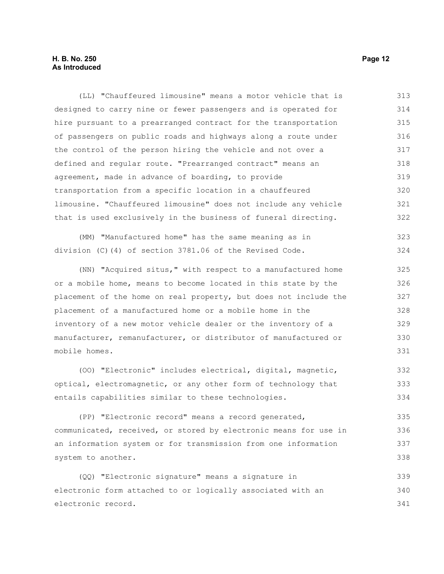(LL) "Chauffeured limousine" means a motor vehicle that is designed to carry nine or fewer passengers and is operated for hire pursuant to a prearranged contract for the transportation of passengers on public roads and highways along a route under the control of the person hiring the vehicle and not over a defined and regular route. "Prearranged contract" means an agreement, made in advance of boarding, to provide transportation from a specific location in a chauffeured limousine. "Chauffeured limousine" does not include any vehicle that is used exclusively in the business of funeral directing. 313 314 315 316 317 318 319 320 321 322

(MM) "Manufactured home" has the same meaning as in division (C)(4) of section 3781.06 of the Revised Code. 323 324

(NN) "Acquired situs," with respect to a manufactured home or a mobile home, means to become located in this state by the placement of the home on real property, but does not include the placement of a manufactured home or a mobile home in the inventory of a new motor vehicle dealer or the inventory of a manufacturer, remanufacturer, or distributor of manufactured or mobile homes. 325 326 327 328 329 330 331

(OO) "Electronic" includes electrical, digital, magnetic, optical, electromagnetic, or any other form of technology that entails capabilities similar to these technologies. 332 333 334

(PP) "Electronic record" means a record generated, communicated, received, or stored by electronic means for use in an information system or for transmission from one information system to another. 335 336 337 338

(QQ) "Electronic signature" means a signature in electronic form attached to or logically associated with an electronic record. 339 340 341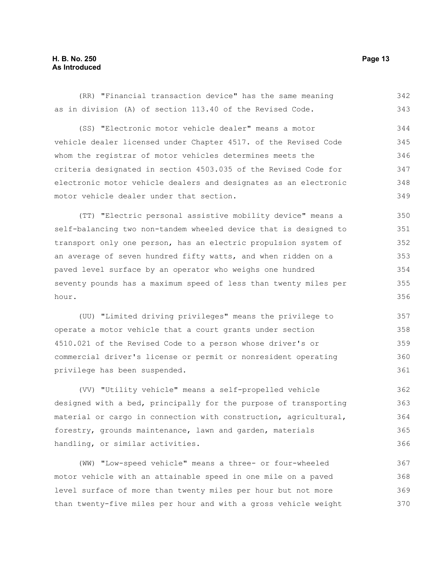#### **H. B. No. 250 Page 13 As Introduced**

(RR) "Financial transaction device" has the same meaning as in division (A) of section 113.40 of the Revised Code. (SS) "Electronic motor vehicle dealer" means a motor vehicle dealer licensed under Chapter 4517. of the Revised Code whom the registrar of motor vehicles determines meets the criteria designated in section 4503.035 of the Revised Code for electronic motor vehicle dealers and designates as an electronic motor vehicle dealer under that section. (TT) "Electric personal assistive mobility device" means a self-balancing two non-tandem wheeled device that is designed to transport only one person, has an electric propulsion system of an average of seven hundred fifty watts, and when ridden on a paved level surface by an operator who weighs one hundred seventy pounds has a maximum speed of less than twenty miles per hour. 342 343 344 345 346 347 348 349 350 351 352 353 354 355 356

(UU) "Limited driving privileges" means the privilege to operate a motor vehicle that a court grants under section 4510.021 of the Revised Code to a person whose driver's or commercial driver's license or permit or nonresident operating privilege has been suspended. 357 358 359 360 361

(VV) "Utility vehicle" means a self-propelled vehicle designed with a bed, principally for the purpose of transporting material or cargo in connection with construction, agricultural, forestry, grounds maintenance, lawn and garden, materials handling, or similar activities. 362 363 364 365 366

(WW) "Low-speed vehicle" means a three- or four-wheeled motor vehicle with an attainable speed in one mile on a paved level surface of more than twenty miles per hour but not more than twenty-five miles per hour and with a gross vehicle weight 367 368 369 370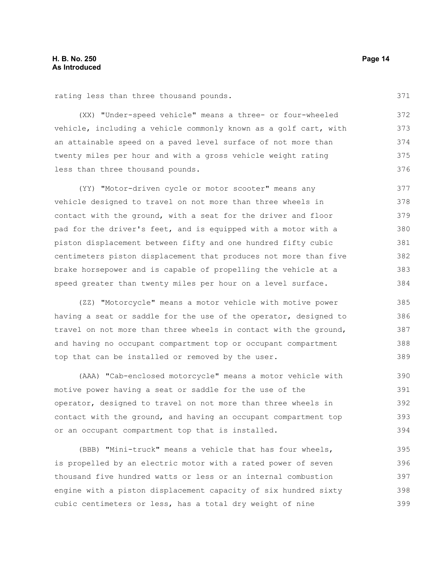rating less than three thousand pounds.

(XX) "Under-speed vehicle" means a three- or four-wheeled vehicle, including a vehicle commonly known as a golf cart, with an attainable speed on a paved level surface of not more than twenty miles per hour and with a gross vehicle weight rating less than three thousand pounds. 372 373 374 375 376

(YY) "Motor-driven cycle or motor scooter" means any vehicle designed to travel on not more than three wheels in contact with the ground, with a seat for the driver and floor pad for the driver's feet, and is equipped with a motor with a piston displacement between fifty and one hundred fifty cubic centimeters piston displacement that produces not more than five brake horsepower and is capable of propelling the vehicle at a speed greater than twenty miles per hour on a level surface. 377 378 379 380 381 382 383 384

(ZZ) "Motorcycle" means a motor vehicle with motive power having a seat or saddle for the use of the operator, designed to travel on not more than three wheels in contact with the ground, and having no occupant compartment top or occupant compartment top that can be installed or removed by the user. 385 386 387 388 389

(AAA) "Cab-enclosed motorcycle" means a motor vehicle with motive power having a seat or saddle for the use of the operator, designed to travel on not more than three wheels in contact with the ground, and having an occupant compartment top or an occupant compartment top that is installed.

(BBB) "Mini-truck" means a vehicle that has four wheels, is propelled by an electric motor with a rated power of seven thousand five hundred watts or less or an internal combustion engine with a piston displacement capacity of six hundred sixty cubic centimeters or less, has a total dry weight of nine 395 396 397 398 399

371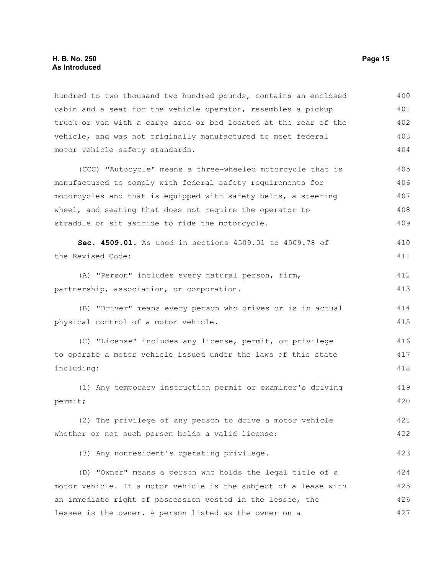hundred to two thousand two hundred pounds, contains an enclosed cabin and a seat for the vehicle operator, resembles a pickup truck or van with a cargo area or bed located at the rear of the vehicle, and was not originally manufactured to meet federal motor vehicle safety standards. 400 401 402 403 404

(CCC) "Autocycle" means a three-wheeled motorcycle that is manufactured to comply with federal safety requirements for motorcycles and that is equipped with safety belts, a steering wheel, and seating that does not require the operator to straddle or sit astride to ride the motorcycle. 405 406 407 408 409

|                   |  |  | Sec. 4509.01. As used in sections 4509.01 to 4509.78 of |  |  | 410 |
|-------------------|--|--|---------------------------------------------------------|--|--|-----|
| the Revised Code: |  |  |                                                         |  |  | 411 |

(A) "Person" includes every natural person, firm, partnership, association, or corporation. 412 413

(B) "Driver" means every person who drives or is in actual physical control of a motor vehicle.

(C) "License" includes any license, permit, or privilege to operate a motor vehicle issued under the laws of this state including: 416 417 418

(1) Any temporary instruction permit or examiner's driving permit; 419 420

```
(2) The privilege of any person to drive a motor vehicle
whether or not such person holds a valid license;
                                                                            421
                                                                            422
```
(3) Any nonresident's operating privilege.

(D) "Owner" means a person who holds the legal title of a motor vehicle. If a motor vehicle is the subject of a lease with an immediate right of possession vested in the lessee, the lessee is the owner. A person listed as the owner on a 424 425 426 427

414 415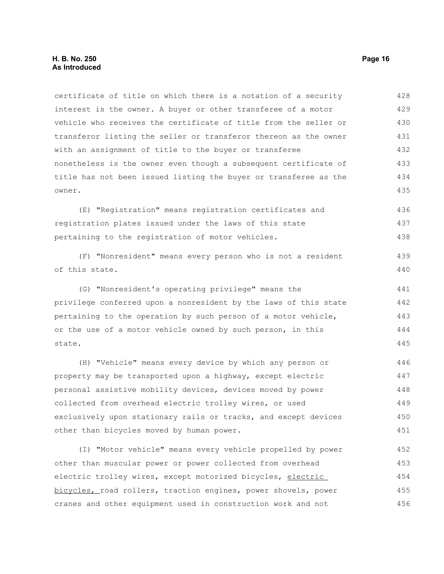certificate of title on which there is a notation of a security interest is the owner. A buyer or other transferee of a motor vehicle who receives the certificate of title from the seller or transferor listing the seller or transferor thereon as the owner with an assignment of title to the buyer or transferee nonetheless is the owner even though a subsequent certificate of title has not been issued listing the buyer or transferee as the owner. 428 429 430 431 432 433 434 435

(E) "Registration" means registration certificates and registration plates issued under the laws of this state pertaining to the registration of motor vehicles. 436 437 438

(F) "Nonresident" means every person who is not a resident of this state. 439 440

(G) "Nonresident's operating privilege" means the privilege conferred upon a nonresident by the laws of this state pertaining to the operation by such person of a motor vehicle, or the use of a motor vehicle owned by such person, in this state. 441 442 443 444 445

(H) "Vehicle" means every device by which any person or property may be transported upon a highway, except electric personal assistive mobility devices, devices moved by power collected from overhead electric trolley wires, or used exclusively upon stationary rails or tracks, and except devices other than bicycles moved by human power. 446 447 448 449 450 451

(I) "Motor vehicle" means every vehicle propelled by power other than muscular power or power collected from overhead electric trolley wires, except motorized bicycles, electric bicycles, road rollers, traction engines, power shovels, power cranes and other equipment used in construction work and not 452 453 454 455 456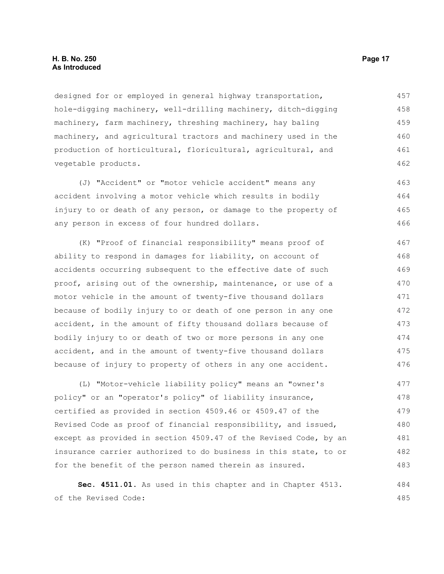designed for or employed in general highway transportation, hole-digging machinery, well-drilling machinery, ditch-digging machinery, farm machinery, threshing machinery, hay baling machinery, and agricultural tractors and machinery used in the production of horticultural, floricultural, agricultural, and vegetable products. 457 458 459 460 461 462

(J) "Accident" or "motor vehicle accident" means any accident involving a motor vehicle which results in bodily injury to or death of any person, or damage to the property of any person in excess of four hundred dollars. 463 464 465 466

(K) "Proof of financial responsibility" means proof of ability to respond in damages for liability, on account of accidents occurring subsequent to the effective date of such proof, arising out of the ownership, maintenance, or use of a motor vehicle in the amount of twenty-five thousand dollars because of bodily injury to or death of one person in any one accident, in the amount of fifty thousand dollars because of bodily injury to or death of two or more persons in any one accident, and in the amount of twenty-five thousand dollars because of injury to property of others in any one accident. 467 468 469 470 471 472 473 474 475 476

(L) "Motor-vehicle liability policy" means an "owner's policy" or an "operator's policy" of liability insurance, certified as provided in section 4509.46 or 4509.47 of the Revised Code as proof of financial responsibility, and issued, except as provided in section 4509.47 of the Revised Code, by an insurance carrier authorized to do business in this state, to or for the benefit of the person named therein as insured. 477 478 479 480 481 482 483

**Sec. 4511.01.** As used in this chapter and in Chapter 4513. of the Revised Code: 484 485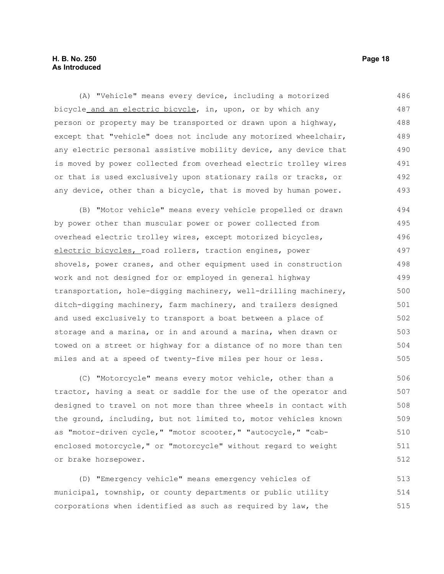(A) "Vehicle" means every device, including a motorized bicycle and an electric bicycle, in, upon, or by which any person or property may be transported or drawn upon a highway, except that "vehicle" does not include any motorized wheelchair, any electric personal assistive mobility device, any device that is moved by power collected from overhead electric trolley wires or that is used exclusively upon stationary rails or tracks, or any device, other than a bicycle, that is moved by human power. 486 487 488 489 490 491 492 493

(B) "Motor vehicle" means every vehicle propelled or drawn by power other than muscular power or power collected from overhead electric trolley wires, except motorized bicycles, electric bicycles, road rollers, traction engines, power shovels, power cranes, and other equipment used in construction work and not designed for or employed in general highway transportation, hole-digging machinery, well-drilling machinery, ditch-digging machinery, farm machinery, and trailers designed and used exclusively to transport a boat between a place of storage and a marina, or in and around a marina, when drawn or towed on a street or highway for a distance of no more than ten miles and at a speed of twenty-five miles per hour or less. 494 495 496 497 498 499 500 501 502 503 504 505

(C) "Motorcycle" means every motor vehicle, other than a tractor, having a seat or saddle for the use of the operator and designed to travel on not more than three wheels in contact with the ground, including, but not limited to, motor vehicles known as "motor-driven cycle," "motor scooter," "autocycle," "cabenclosed motorcycle," or "motorcycle" without regard to weight or brake horsepower. 506 507 508 509 510 511 512

(D) "Emergency vehicle" means emergency vehicles of municipal, township, or county departments or public utility corporations when identified as such as required by law, the 513 514 515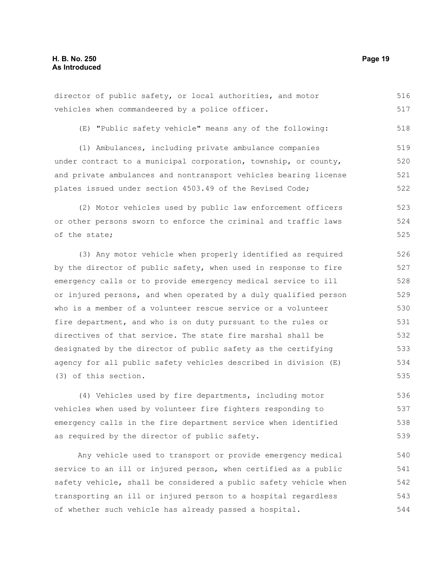director of public safety, or local authorities, and motor vehicles when commandeered by a police officer. 516 517

(E) "Public safety vehicle" means any of the following:

(1) Ambulances, including private ambulance companies under contract to a municipal corporation, township, or county, and private ambulances and nontransport vehicles bearing license plates issued under section 4503.49 of the Revised Code; 519 520 521 522

(2) Motor vehicles used by public law enforcement officers or other persons sworn to enforce the criminal and traffic laws of the state; 523 524 525

(3) Any motor vehicle when properly identified as required by the director of public safety, when used in response to fire emergency calls or to provide emergency medical service to ill or injured persons, and when operated by a duly qualified person who is a member of a volunteer rescue service or a volunteer fire department, and who is on duty pursuant to the rules or directives of that service. The state fire marshal shall be designated by the director of public safety as the certifying agency for all public safety vehicles described in division (E) (3) of this section. 526 527 528 529 530 531 532 533 534 535

(4) Vehicles used by fire departments, including motor vehicles when used by volunteer fire fighters responding to emergency calls in the fire department service when identified as required by the director of public safety. 536 537 538 539

Any vehicle used to transport or provide emergency medical service to an ill or injured person, when certified as a public safety vehicle, shall be considered a public safety vehicle when transporting an ill or injured person to a hospital regardless of whether such vehicle has already passed a hospital. 540 541 542 543 544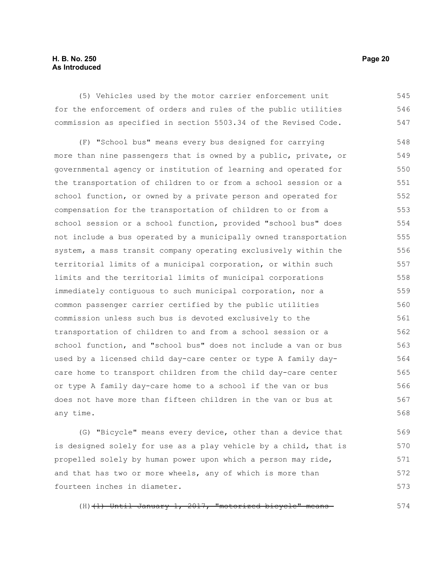#### **H. B. No. 250 Page 20 As Introduced**

(5) Vehicles used by the motor carrier enforcement unit for the enforcement of orders and rules of the public utilities commission as specified in section 5503.34 of the Revised Code. 545 546 547

(F) "School bus" means every bus designed for carrying more than nine passengers that is owned by a public, private, or governmental agency or institution of learning and operated for the transportation of children to or from a school session or a school function, or owned by a private person and operated for compensation for the transportation of children to or from a school session or a school function, provided "school bus" does not include a bus operated by a municipally owned transportation system, a mass transit company operating exclusively within the territorial limits of a municipal corporation, or within such limits and the territorial limits of municipal corporations immediately contiguous to such municipal corporation, nor a common passenger carrier certified by the public utilities commission unless such bus is devoted exclusively to the transportation of children to and from a school session or a school function, and "school bus" does not include a van or bus used by a licensed child day-care center or type A family daycare home to transport children from the child day-care center or type A family day-care home to a school if the van or bus does not have more than fifteen children in the van or bus at any time. 548 549 550 551 552 553 554 555 556 557 558 559 560 561 562 563 564 565 566 567 568

(G) "Bicycle" means every device, other than a device that is designed solely for use as a play vehicle by a child, that is propelled solely by human power upon which a person may ride, and that has two or more wheels, any of which is more than fourteen inches in diameter. 569 570 571 572 573

 $(H)$  (H)  $\frac{1}{1}$  Until January 1, 2017, "motorized bicycle" means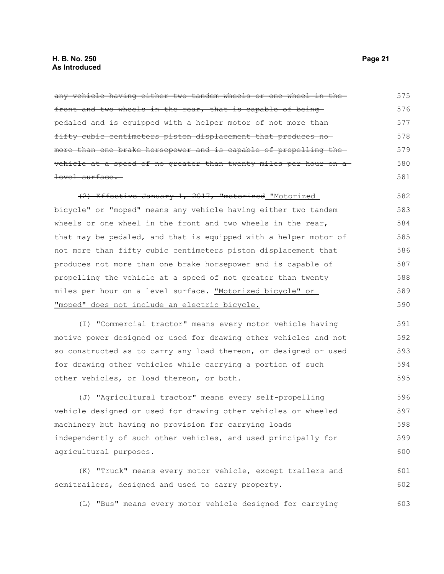### **H. B. No. 250 Page 21 As Introduced**

| any vehicle having either two tandem wheels or one wheel in the          | 575 |
|--------------------------------------------------------------------------|-----|
| front and two wheels in the rear, that is capable of being               | 576 |
| pedaled and is equipped with a helper motor of not more than             | 577 |
| <u>fifty cubic centimeters piston displacement that produces no-</u>     | 578 |
| more than one brake horsepower and is capable of propelling the          | 579 |
| <u>vehicle at a speed of no greater than twenty miles per hour on a-</u> | 580 |
| level surface.                                                           | 581 |
| (2) Effective January 1, 2017, "motorized "Motorized                     | 582 |
| bicycle" or "moped" means any vehicle having either two tandem           | 583 |
| wheels or one wheel in the front and two wheels in the rear,             | 584 |
| that may be pedaled, and that is equipped with a helper motor of         | 585 |
| not more than fifty cubic centimeters piston displacement that           | 586 |
| produces not more than one brake horsepower and is capable of            | 587 |
| propelling the vehicle at a speed of not greater than twenty             | 588 |
| miles per hour on a level surface. "Motorized bicycle" or                | 589 |
| <u>"moped" does not include an electric bicycle.</u>                     | 590 |
| (I) "Commercial tractor" means every motor vehicle having                | 591 |
| motive power designed or used for drawing other vehicles and not         | 592 |
| so constructed as to carry any load thereon, or designed or used         | 593 |
| for drawing other vehicles while carrying a portion of such              | 594 |
| other vehicles, or load thereon, or both.                                | 595 |
| (J) "Agricultural tractor" means every self-propelling                   | 596 |
| vehicle designed or used for drawing other vehicles or wheeled           | 597 |
| machinery but having no provision for carrying loads                     | 598 |
| independently of such other vehicles, and used principally for           | 599 |
| agricultural purposes.                                                   | 600 |
| (K) "Truck" means every motor vehicle, except trailers and               | 601 |
| semitrailers, designed and used to carry property.                       | 602 |

(L) "Bus" means every motor vehicle designed for carrying 603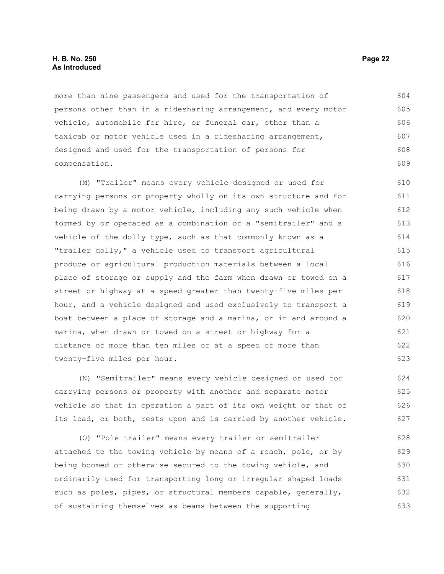#### **H. B. No. 250 Page 22 As Introduced**

more than nine passengers and used for the transportation of persons other than in a ridesharing arrangement, and every motor vehicle, automobile for hire, or funeral car, other than a taxicab or motor vehicle used in a ridesharing arrangement, designed and used for the transportation of persons for compensation. 604 605 606 607 608 609

(M) "Trailer" means every vehicle designed or used for carrying persons or property wholly on its own structure and for being drawn by a motor vehicle, including any such vehicle when formed by or operated as a combination of a "semitrailer" and a vehicle of the dolly type, such as that commonly known as a "trailer dolly," a vehicle used to transport agricultural produce or agricultural production materials between a local place of storage or supply and the farm when drawn or towed on a street or highway at a speed greater than twenty-five miles per hour, and a vehicle designed and used exclusively to transport a boat between a place of storage and a marina, or in and around a marina, when drawn or towed on a street or highway for a distance of more than ten miles or at a speed of more than twenty-five miles per hour. 610 611 612 613 614 615 616 617 618 619 620 621 622 623

(N) "Semitrailer" means every vehicle designed or used for carrying persons or property with another and separate motor vehicle so that in operation a part of its own weight or that of its load, or both, rests upon and is carried by another vehicle. 624 625 626 627

(O) "Pole trailer" means every trailer or semitrailer attached to the towing vehicle by means of a reach, pole, or by being boomed or otherwise secured to the towing vehicle, and ordinarily used for transporting long or irregular shaped loads such as poles, pipes, or structural members capable, generally, of sustaining themselves as beams between the supporting 628 629 630 631 632 633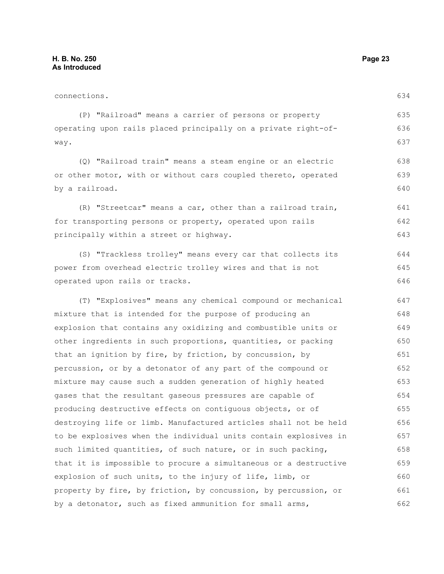connections.

(P) "Railroad" means a carrier of persons or property operating upon rails placed principally on a private right-ofway. (Q) "Railroad train" means a steam engine or an electric or other motor, with or without cars coupled thereto, operated by a railroad. (R) "Streetcar" means a car, other than a railroad train, for transporting persons or property, operated upon rails principally within a street or highway. (S) "Trackless trolley" means every car that collects its power from overhead electric trolley wires and that is not operated upon rails or tracks. (T) "Explosives" means any chemical compound or mechanical mixture that is intended for the purpose of producing an explosion that contains any oxidizing and combustible units or other ingredients in such proportions, quantities, or packing that an ignition by fire, by friction, by concussion, by percussion, or by a detonator of any part of the compound or mixture may cause such a sudden generation of highly heated gases that the resultant gaseous pressures are capable of producing destructive effects on contiguous objects, or of destroying life or limb. Manufactured articles shall not be held to be explosives when the individual units contain explosives in such limited quantities, of such nature, or in such packing, that it is impossible to procure a simultaneous or a destructive 635 636 637 638 639 640 641 642 643 644 645 646 647 648 649 650 651 652 653 654 655 656 657 658 659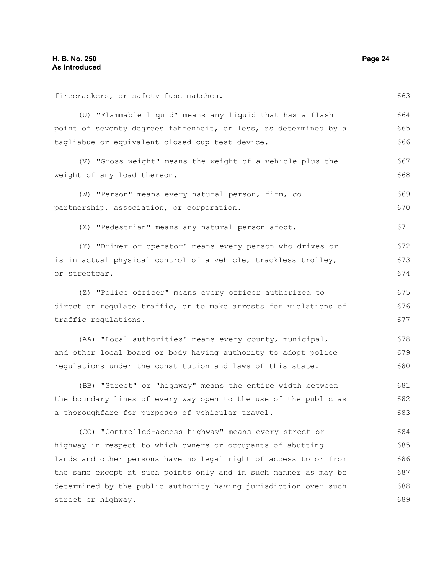firecrackers, or safety fuse matches. (U) "Flammable liquid" means any liquid that has a flash point of seventy degrees fahrenheit, or less, as determined by a tagliabue or equivalent closed cup test device. (V) "Gross weight" means the weight of a vehicle plus the weight of any load thereon. (W) "Person" means every natural person, firm, copartnership, association, or corporation. (X) "Pedestrian" means any natural person afoot. (Y) "Driver or operator" means every person who drives or is in actual physical control of a vehicle, trackless trolley, or streetcar. (Z) "Police officer" means every officer authorized to direct or regulate traffic, or to make arrests for violations of traffic regulations. (AA) "Local authorities" means every county, municipal, and other local board or body having authority to adopt police regulations under the constitution and laws of this state. (BB) "Street" or "highway" means the entire width between the boundary lines of every way open to the use of the public as a thoroughfare for purposes of vehicular travel. (CC) "Controlled-access highway" means every street or highway in respect to which owners or occupants of abutting lands and other persons have no legal right of access to or from the same except at such points only and in such manner as may be determined by the public authority having jurisdiction over such street or highway. 663 664 665 666 667 668 669 670 671 672 673 674 675 676 677 678 679 680 681 682 683 684 685 686 687 688 689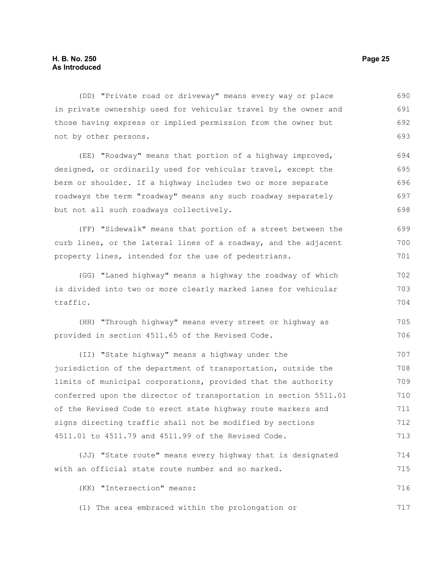717

| (DD) "Private road or driveway" means every way or place                                                      | 690 |
|---------------------------------------------------------------------------------------------------------------|-----|
| in private ownership used for vehicular travel by the owner and                                               | 691 |
| those having express or implied permission from the owner but                                                 | 692 |
| not by other persons.                                                                                         | 693 |
| (EE) "Roadway" means that portion of a highway improved,                                                      | 694 |
| designed, or ordinarily used for vehicular travel, except the                                                 | 695 |
| berm or shoulder. If a highway includes two or more separate                                                  | 696 |
| roadways the term "roadway" means any such roadway separately                                                 | 697 |
| but not all such roadways collectively.                                                                       | 698 |
| (FF) "Sidewalk" means that portion of a street between the                                                    | 699 |
| curb lines, or the lateral lines of a roadway, and the adjacent                                               | 700 |
| property lines, intended for the use of pedestrians.                                                          | 701 |
| (GG) "Laned highway" means a highway the roadway of which                                                     | 702 |
| is divided into two or more clearly marked lanes for vehicular                                                | 703 |
| traffic.                                                                                                      | 704 |
| (HH) "Through highway" means every street or highway as                                                       | 705 |
| provided in section 4511.65 of the Revised Code.                                                              | 706 |
| $ITT$ ) $ICT$ $h^2$ $h^2$ $g^2$ $h^2$ $g^2$ $h^2$ $g^2$ $h^2$ $g^2$ $h^2$ $g^2$ $h^2$ $g^2$ $h^2$ $g^2$ $h^2$ | ワハワ |

(II) "State highway" means a highway under the jurisdiction of the department of transportation, outside the limits of municipal corporations, provided that the authority conferred upon the director of transportation in section 5511.01 of the Revised Code to erect state highway route markers and signs directing traffic shall not be modified by sections 4511.01 to 4511.79 and 4511.99 of the Revised Code. 707 708 709 710 711 712 713

(JJ) "State route" means every highway that is designated with an official state route number and so marked. 714 715

(KK) "Intersection" means: 716

(1) The area embraced within the prolongation or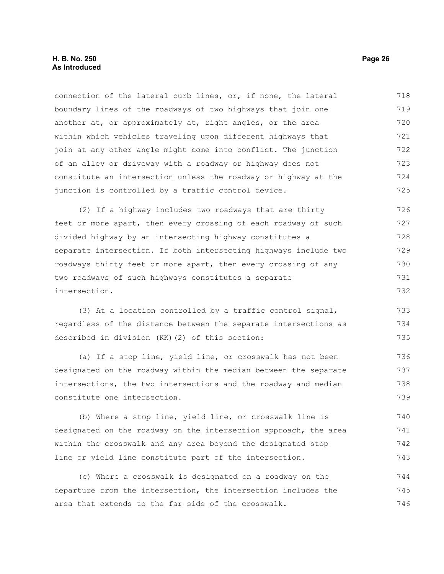connection of the lateral curb lines, or, if none, the lateral boundary lines of the roadways of two highways that join one another at, or approximately at, right angles, or the area within which vehicles traveling upon different highways that join at any other angle might come into conflict. The junction of an alley or driveway with a roadway or highway does not constitute an intersection unless the roadway or highway at the junction is controlled by a traffic control device. 718 719 720 721 722 723 724 725

(2) If a highway includes two roadways that are thirty feet or more apart, then every crossing of each roadway of such divided highway by an intersecting highway constitutes a separate intersection. If both intersecting highways include two roadways thirty feet or more apart, then every crossing of any two roadways of such highways constitutes a separate intersection. 726 727 728 729 730 731 732

(3) At a location controlled by a traffic control signal, regardless of the distance between the separate intersections as described in division (KK)(2) of this section: 733 734 735

(a) If a stop line, yield line, or crosswalk has not been designated on the roadway within the median between the separate intersections, the two intersections and the roadway and median constitute one intersection.

(b) Where a stop line, yield line, or crosswalk line is designated on the roadway on the intersection approach, the area within the crosswalk and any area beyond the designated stop line or yield line constitute part of the intersection. 740 741 742 743

(c) Where a crosswalk is designated on a roadway on the departure from the intersection, the intersection includes the area that extends to the far side of the crosswalk. 744 745 746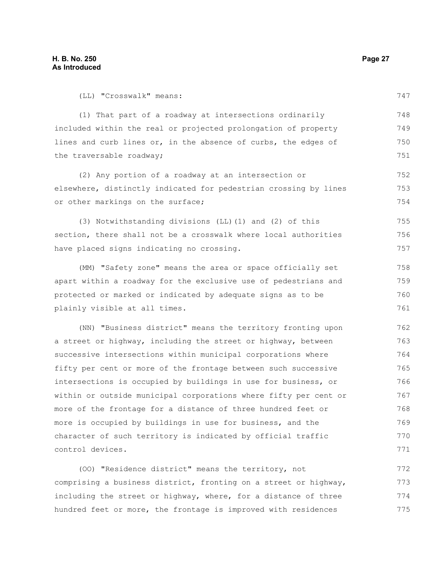(LL) "Crosswalk" means:

747

755 756 757

(1) That part of a roadway at intersections ordinarily included within the real or projected prolongation of property lines and curb lines or, in the absence of curbs, the edges of the traversable roadway; 748 749 750 751

(2) Any portion of a roadway at an intersection or elsewhere, distinctly indicated for pedestrian crossing by lines or other markings on the surface; 752 753 754

(3) Notwithstanding divisions (LL)(1) and (2) of this section, there shall not be a crosswalk where local authorities have placed signs indicating no crossing.

(MM) "Safety zone" means the area or space officially set apart within a roadway for the exclusive use of pedestrians and protected or marked or indicated by adequate signs as to be plainly visible at all times.

(NN) "Business district" means the territory fronting upon a street or highway, including the street or highway, between successive intersections within municipal corporations where fifty per cent or more of the frontage between such successive intersections is occupied by buildings in use for business, or within or outside municipal corporations where fifty per cent or more of the frontage for a distance of three hundred feet or more is occupied by buildings in use for business, and the character of such territory is indicated by official traffic control devices. 762 763 764 765 766 767 768 769 770 771

(OO) "Residence district" means the territory, not comprising a business district, fronting on a street or highway, including the street or highway, where, for a distance of three hundred feet or more, the frontage is improved with residences 772 773 774 775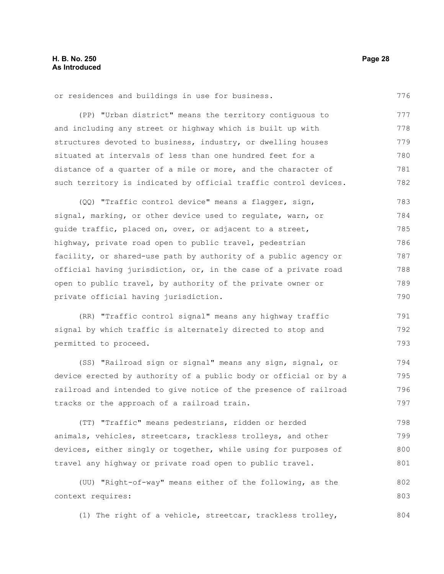776

or residences and buildings in use for business.

(PP) "Urban district" means the territory contiguous to and including any street or highway which is built up with structures devoted to business, industry, or dwelling houses situated at intervals of less than one hundred feet for a distance of a quarter of a mile or more, and the character of such territory is indicated by official traffic control devices. 777 778 779 780 781 782

(QQ) "Traffic control device" means a flagger, sign, signal, marking, or other device used to regulate, warn, or guide traffic, placed on, over, or adjacent to a street, highway, private road open to public travel, pedestrian facility, or shared-use path by authority of a public agency or official having jurisdiction, or, in the case of a private road open to public travel, by authority of the private owner or private official having jurisdiction. 783 784 785 786 787 788 789 790

(RR) "Traffic control signal" means any highway traffic signal by which traffic is alternately directed to stop and permitted to proceed. 791 792 793

(SS) "Railroad sign or signal" means any sign, signal, or device erected by authority of a public body or official or by a railroad and intended to give notice of the presence of railroad tracks or the approach of a railroad train. 794 795 796 797

(TT) "Traffic" means pedestrians, ridden or herded animals, vehicles, streetcars, trackless trolleys, and other devices, either singly or together, while using for purposes of travel any highway or private road open to public travel. 798 799 800 801

(UU) "Right-of-way" means either of the following, as the context requires: 802 803

(1) The right of a vehicle, streetcar, trackless trolley, 804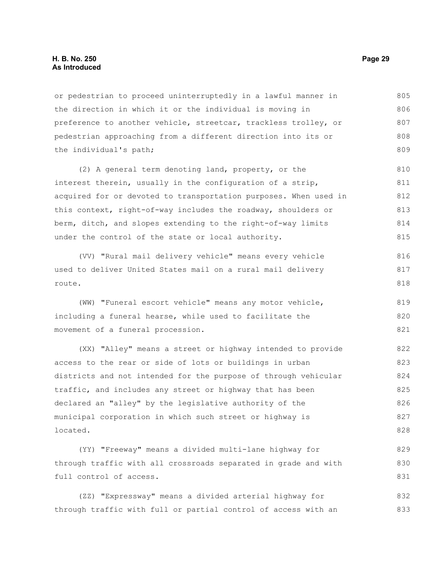#### **H. B. No. 250 Page 29 As Introduced**

or pedestrian to proceed uninterruptedly in a lawful manner in the direction in which it or the individual is moving in preference to another vehicle, streetcar, trackless trolley, or pedestrian approaching from a different direction into its or the individual's path; 805 806 807 808 809

(2) A general term denoting land, property, or the interest therein, usually in the configuration of a strip, acquired for or devoted to transportation purposes. When used in this context, right-of-way includes the roadway, shoulders or berm, ditch, and slopes extending to the right-of-way limits under the control of the state or local authority. 810 811 812 813 814 815

(VV) "Rural mail delivery vehicle" means every vehicle used to deliver United States mail on a rural mail delivery route. 816 817 818

(WW) "Funeral escort vehicle" means any motor vehicle, including a funeral hearse, while used to facilitate the movement of a funeral procession. 819 820 821

(XX) "Alley" means a street or highway intended to provide access to the rear or side of lots or buildings in urban districts and not intended for the purpose of through vehicular traffic, and includes any street or highway that has been declared an "alley" by the legislative authority of the municipal corporation in which such street or highway is located. 822 823 824 825 826 827 828

(YY) "Freeway" means a divided multi-lane highway for through traffic with all crossroads separated in grade and with full control of access. 829 830 831

(ZZ) "Expressway" means a divided arterial highway for through traffic with full or partial control of access with an 832 833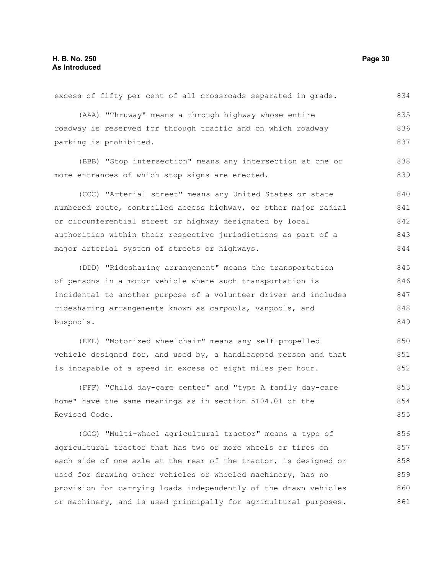| (AAA) "Thruway" means a through highway whose entire             | 835 |
|------------------------------------------------------------------|-----|
| roadway is reserved for through traffic and on which roadway     | 836 |
| parking is prohibited.                                           | 837 |
| (BBB) "Stop intersection" means any intersection at one or       | 838 |
| more entrances of which stop signs are erected.                  | 839 |
|                                                                  |     |
| (CCC) "Arterial street" means any United States or state         | 840 |
| numbered route, controlled access highway, or other major radial | 841 |
| or circumferential street or highway designated by local         | 842 |
| authorities within their respective jurisdictions as part of a   | 843 |
| major arterial system of streets or highways.                    | 844 |
|                                                                  | 845 |
| (DDD) "Ridesharing arrangement" means the transportation         |     |
| of persons in a motor vehicle where such transportation is       | 846 |
| incidental to another purpose of a volunteer driver and includes | 847 |
| ridesharing arrangements known as carpools, vanpools, and        | 848 |
| buspools.                                                        | 849 |
| (EEE) "Motorized wheelchair" means any self-propelled            | 850 |
| vehicle designed for, and used by, a handicapped person and that | 851 |
| is incapable of a speed in excess of eight miles per hour.       | 852 |
| (FFF) "Child day-care center" and "type A family day-care        | 853 |
| home" have the same meanings as in section 5104.01 of the        | 854 |
| Revised Code.                                                    | 855 |
| (GGG) "Multi-wheel agricultural tractor" means a type of         | 856 |
| agricultural tractor that has two or more wheels or tires on     | 857 |
| each side of one axle at the rear of the tractor, is designed or | 858 |
| used for drawing other vehicles or wheeled machinery, has no     | 859 |
| provision for carrying loads independently of the drawn vehicles | 860 |
| or machinery, and is used principally for agricultural purposes. | 861 |
|                                                                  |     |

excess of fifty per cent of all crossroads separated in grade.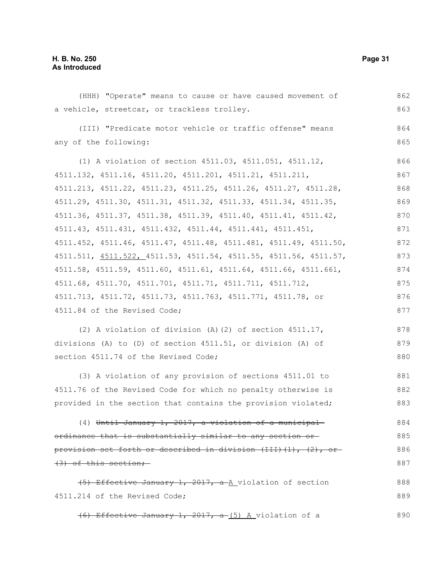| (HHH) "Operate" means to cause or have caused movement of        | 862 |
|------------------------------------------------------------------|-----|
| a vehicle, streetcar, or trackless trolley.                      | 863 |
| (III) "Predicate motor vehicle or traffic offense" means         | 864 |
| any of the following:                                            | 865 |
| (1) A violation of section 4511.03, 4511.051, 4511.12,           | 866 |
| 4511.132, 4511.16, 4511.20, 4511.201, 4511.21, 4511.211,         | 867 |
| 4511.213, 4511.22, 4511.23, 4511.25, 4511.26, 4511.27, 4511.28,  | 868 |
| 4511.29, 4511.30, 4511.31, 4511.32, 4511.33, 4511.34, 4511.35,   | 869 |
| 4511.36, 4511.37, 4511.38, 4511.39, 4511.40, 4511.41, 4511.42,   | 870 |
| 4511.43, 4511.431, 4511.432, 4511.44, 4511.441, 4511.451,        | 871 |
| 4511.452, 4511.46, 4511.47, 4511.48, 4511.481, 4511.49, 4511.50, | 872 |
| 4511.511, 4511.522, 4511.53, 4511.54, 4511.55, 4511.56, 4511.57, | 873 |
| 4511.58, 4511.59, 4511.60, 4511.61, 4511.64, 4511.66, 4511.661,  | 874 |
| 4511.68, 4511.70, 4511.701, 4511.71, 4511.711, 4511.712,         | 875 |
| 4511.713, 4511.72, 4511.73, 4511.763, 4511.771, 4511.78, or      | 876 |
| 4511.84 of the Revised Code;                                     | 877 |
| (2) A violation of division (A)(2) of section $4511.17$ ,        | 878 |
| divisions (A) to (D) of section 4511.51, or division (A) of      | 879 |
| section 4511.74 of the Revised Code;                             | 880 |
| (3) A violation of any provision of sections 4511.01 to          | 881 |
| 4511.76 of the Revised Code for which no penalty otherwise is    | 882 |
| provided in the section that contains the provision violated;    | 883 |
| (4) Until January 1, 2017, a violation of a municipal            | 884 |
| ordinance that is substantially similar to any section or-       | 885 |
| provision set forth or described in division (III)(1), (2), or   | 886 |
| $(3)$ of this section;                                           | 887 |
| (5) Effective January 1, 2017, a A violation of section          | 888 |
| 4511.214 of the Revised Code;                                    | 889 |
| (6) Effective January 1, 2017, a (5) A violation of a            | 890 |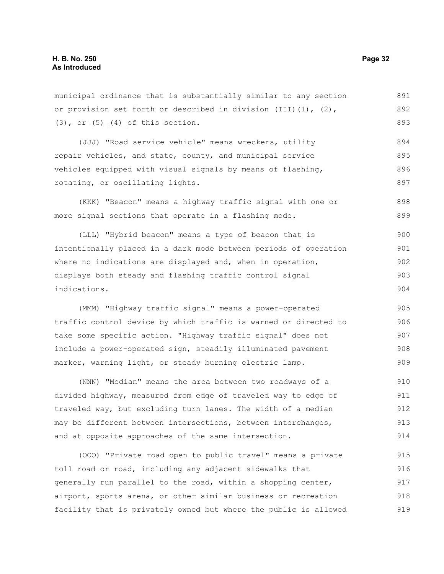(3), or  $\left(5\right)$  (4) of this section.

municipal ordinance that is substantially similar to any section or provision set forth or described in division (III)(1), (2),

(JJJ) "Road service vehicle" means wreckers, utility repair vehicles, and state, county, and municipal service vehicles equipped with visual signals by means of flashing, rotating, or oscillating lights. 894 895 896 897

(KKK) "Beacon" means a highway traffic signal with one or more signal sections that operate in a flashing mode. 898 899

(LLL) "Hybrid beacon" means a type of beacon that is intentionally placed in a dark mode between periods of operation where no indications are displayed and, when in operation, displays both steady and flashing traffic control signal indications. 900 901 902 903 904

(MMM) "Highway traffic signal" means a power-operated traffic control device by which traffic is warned or directed to take some specific action. "Highway traffic signal" does not include a power-operated sign, steadily illuminated pavement marker, warning light, or steady burning electric lamp. 905 906 907 908 909

(NNN) "Median" means the area between two roadways of a divided highway, measured from edge of traveled way to edge of traveled way, but excluding turn lanes. The width of a median may be different between intersections, between interchanges, and at opposite approaches of the same intersection. 910 911 912 913 914

(OOO) "Private road open to public travel" means a private toll road or road, including any adjacent sidewalks that generally run parallel to the road, within a shopping center, airport, sports arena, or other similar business or recreation facility that is privately owned but where the public is allowed 915 916 917 918 919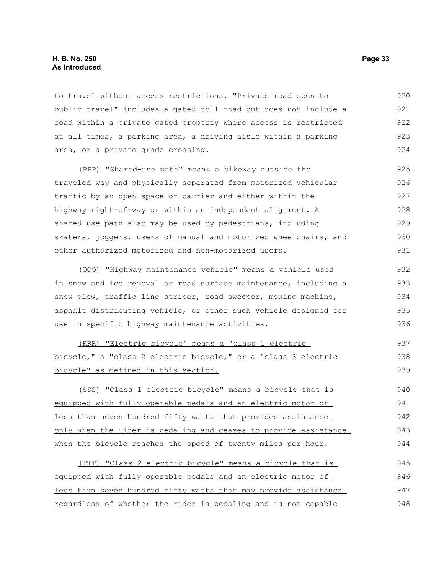#### **H. B. No. 250 Page 33 As Introduced**

to travel without access restrictions. "Private road open to public travel" includes a gated toll road but does not include a road within a private gated property where access is restricted at all times, a parking area, a driving aisle within a parking area, or a private grade crossing. 920 921 922 923 924

(PPP) "Shared-use path" means a bikeway outside the traveled way and physically separated from motorized vehicular traffic by an open space or barrier and either within the highway right-of-way or within an independent alignment. A shared-use path also may be used by pedestrians, including skaters, joggers, users of manual and motorized wheelchairs, and other authorized motorized and non-motorized users. 925 926 927 928 929 930 931

(QQQ) "Highway maintenance vehicle" means a vehicle used in snow and ice removal or road surface maintenance, including a snow plow, traffic line striper, road sweeper, mowing machine, asphalt distributing vehicle, or other such vehicle designed for use in specific highway maintenance activities. 932 933 934 935 936

(RRR) "Electric bicycle" means a "class 1 electric bicycle," a "class 2 electric bicycle," or a "class 3 electric bicycle" as defined in this section. 937 938 939

(SSS) "Class 1 electric bicycle" means a bicycle that is equipped with fully operable pedals and an electric motor of less than seven hundred fifty watts that provides assistance only when the rider is pedaling and ceases to provide assistance when the bicycle reaches the speed of twenty miles per hour. 940 941 942 943 944

(TTT) "Class 2 electric bicycle" means a bicycle that is equipped with fully operable pedals and an electric motor of less than seven hundred fifty watts that may provide assistance regardless of whether the rider is pedaling and is not capable 945 946 947 948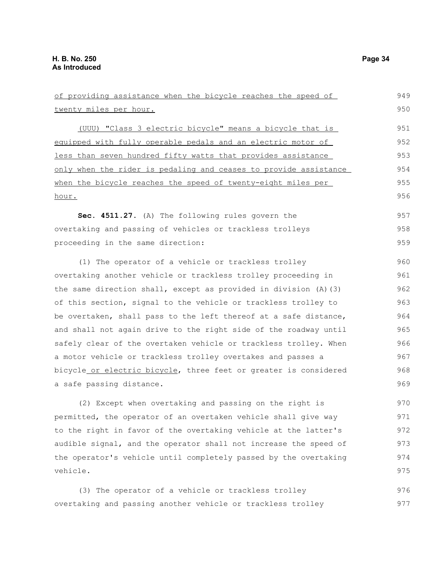| of providing assistance when the bicycle reaches the speed of    | 949 |
|------------------------------------------------------------------|-----|
| twenty miles per hour.                                           | 950 |
|                                                                  |     |
| (UUU) "Class 3 electric bicycle" means a bicycle that is         | 951 |
| equipped with fully operable pedals and an electric motor of     | 952 |
| less than seven hundred fifty watts that provides assistance     | 953 |
| only when the rider is pedaling and ceases to provide assistance | 954 |
| when the bicycle reaches the speed of twenty-eight miles per     | 955 |
| hour.                                                            | 956 |
| Sec. 4511.27. (A) The following rules govern the                 | 957 |
| overtaking and passing of vehicles or trackless trolleys         | 958 |
| proceeding in the same direction:                                | 959 |
| (1) The operator of a vehicle or trackless trolley               | 960 |
| overtaking another vehicle or trackless trolley proceeding in    | 961 |
| the same direction shall, except as provided in division (A) (3) | 962 |
| of this section, signal to the vehicle or trackless trolley to   | 963 |
| be overtaken, shall pass to the left thereof at a safe distance, | 964 |
| and shall not again drive to the right side of the roadway until | 965 |
| safely clear of the overtaken vehicle or trackless trolley. When | 966 |
| a motor vehicle or trackless trolley overtakes and passes a      | 967 |
| bicycle or electric bicycle, three feet or greater is considered | 968 |
| a safe passing distance.                                         | 969 |
| (2) Except when overtaking and passing on the right is           | 970 |
| permitted, the operator of an overtaken vehicle shall give way   | 971 |
| to the right in favor of the overtaking vehicle at the latter's  | 972 |
| audible signal, and the operator shall not increase the speed of | 973 |
| the operator's vehicle until completely passed by the overtaking | 974 |
| vehicle.                                                         | 975 |
|                                                                  |     |

(3) The operator of a vehicle or trackless trolley overtaking and passing another vehicle or trackless trolley 976 977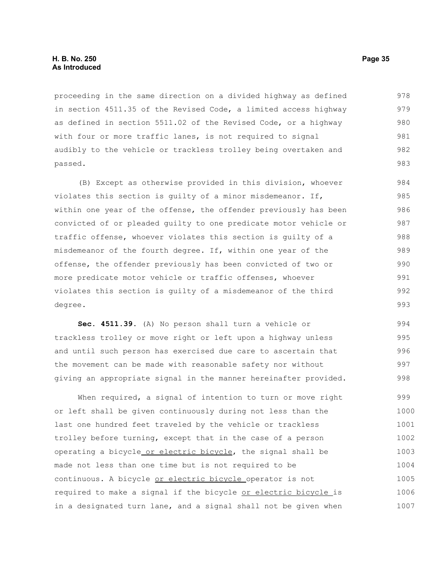proceeding in the same direction on a divided highway as defined in section 4511.35 of the Revised Code, a limited access highway as defined in section 5511.02 of the Revised Code, or a highway with four or more traffic lanes, is not required to signal audibly to the vehicle or trackless trolley being overtaken and passed. 978 979 980 981 982 983

(B) Except as otherwise provided in this division, whoever violates this section is guilty of a minor misdemeanor. If, within one year of the offense, the offender previously has been convicted of or pleaded guilty to one predicate motor vehicle or traffic offense, whoever violates this section is guilty of a misdemeanor of the fourth degree. If, within one year of the offense, the offender previously has been convicted of two or more predicate motor vehicle or traffic offenses, whoever violates this section is guilty of a misdemeanor of the third degree. 984 985 986 987 988 989 990 991 992 993

**Sec. 4511.39.** (A) No person shall turn a vehicle or trackless trolley or move right or left upon a highway unless and until such person has exercised due care to ascertain that the movement can be made with reasonable safety nor without giving an appropriate signal in the manner hereinafter provided. 994 995 996 997 998

When required, a signal of intention to turn or move right or left shall be given continuously during not less than the last one hundred feet traveled by the vehicle or trackless trolley before turning, except that in the case of a person operating a bicycle or electric bicycle, the signal shall be made not less than one time but is not required to be continuous. A bicycle or electric bicycle operator is not required to make a signal if the bicycle or electric bicycle is in a designated turn lane, and a signal shall not be given when 999 1000 1001 1002 1003 1004 1005 1006 1007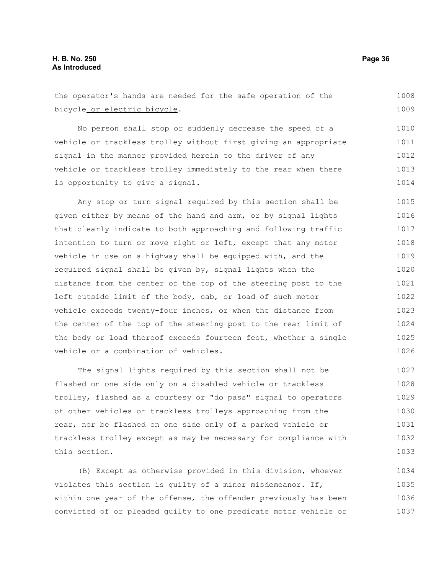the operator's hands are needed for the safe operation of the bicycle or electric bicycle. No person shall stop or suddenly decrease the speed of a vehicle or trackless trolley without first giving an appropriate signal in the manner provided herein to the driver of any vehicle or trackless trolley immediately to the rear when there is opportunity to give a signal. Any stop or turn signal required by this section shall be given either by means of the hand and arm, or by signal lights that clearly indicate to both approaching and following traffic intention to turn or move right or left, except that any motor vehicle in use on a highway shall be equipped with, and the required signal shall be given by, signal lights when the distance from the center of the top of the steering post to the left outside limit of the body, cab, or load of such motor vehicle exceeds twenty-four inches, or when the distance from the center of the top of the steering post to the rear limit of the body or load thereof exceeds fourteen feet, whether a single vehicle or a combination of vehicles. 1008 1009 1010 1011 1012 1013 1014 1015 1016 1017 1018 1019 1020 1021 1022 1023 1024 1025 1026

The signal lights required by this section shall not be flashed on one side only on a disabled vehicle or trackless trolley, flashed as a courtesy or "do pass" signal to operators of other vehicles or trackless trolleys approaching from the rear, nor be flashed on one side only of a parked vehicle or trackless trolley except as may be necessary for compliance with this section. 1027 1028 1029 1030 1031 1032 1033

(B) Except as otherwise provided in this division, whoever violates this section is guilty of a minor misdemeanor. If, within one year of the offense, the offender previously has been convicted of or pleaded guilty to one predicate motor vehicle or 1034 1035 1036 1037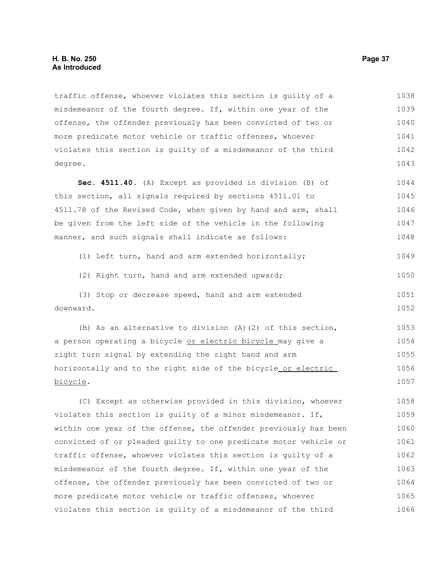traffic offense, whoever violates this section is guilty of a misdemeanor of the fourth degree. If, within one year of the offense, the offender previously has been convicted of two or more predicate motor vehicle or traffic offenses, whoever violates this section is guilty of a misdemeanor of the third degree. 1038 1039 1040 1041 1042 1043

**Sec. 4511.40.** (A) Except as provided in division (B) of this section, all signals required by sections 4511.01 to 4511.78 of the Revised Code, when given by hand and arm, shall be given from the left side of the vehicle in the following manner, and such signals shall indicate as follows: 1044 1045 1046 1047 1048

(1) Left turn, hand and arm extended horizontally; 1049

(2) Right turn, hand and arm extended upward;

(3) Stop or decrease speed, hand and arm extended downward. 1051 1052

(B) As an alternative to division (A)(2) of this section, a person operating a bicycle or electric bicycle may give a right turn signal by extending the right hand and arm horizontally and to the right side of the bicycle or electric bicycle. 1053 1054 1055 1056 1057

(C) Except as otherwise provided in this division, whoever violates this section is guilty of a minor misdemeanor. If, within one year of the offense, the offender previously has been convicted of or pleaded guilty to one predicate motor vehicle or traffic offense, whoever violates this section is guilty of a misdemeanor of the fourth degree. If, within one year of the offense, the offender previously has been convicted of two or more predicate motor vehicle or traffic offenses, whoever violates this section is guilty of a misdemeanor of the third 1058 1059 1060 1061 1062 1063 1064 1065 1066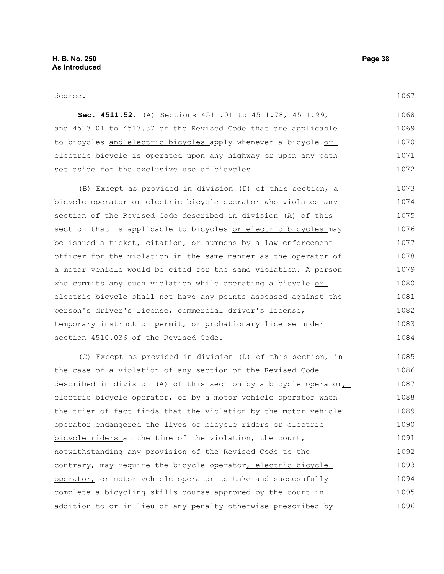degree.

**Sec. 4511.52.** (A) Sections 4511.01 to 4511.78, 4511.99, and 4513.01 to 4513.37 of the Revised Code that are applicable to bicycles and electric bicycles apply whenever a bicycle or electric bicycle is operated upon any highway or upon any path set aside for the exclusive use of bicycles. 1068 1069 1070 1071 1072

(B) Except as provided in division (D) of this section, a bicycle operator or electric bicycle operator who violates any section of the Revised Code described in division (A) of this section that is applicable to bicycles or electric bicycles may be issued a ticket, citation, or summons by a law enforcement officer for the violation in the same manner as the operator of a motor vehicle would be cited for the same violation. A person who commits any such violation while operating a bicycle or electric bicycle shall not have any points assessed against the person's driver's license, commercial driver's license, temporary instruction permit, or probationary license under section 4510.036 of the Revised Code. 1073 1074 1075 1076 1077 1078 1079 1080 1081 1082 1083 1084

(C) Except as provided in division (D) of this section, in the case of a violation of any section of the Revised Code described in division (A) of this section by a bicycle operator, electric bicycle operator, or  $b$ y  $a$ -motor vehicle operator when the trier of fact finds that the violation by the motor vehicle operator endangered the lives of bicycle riders or electric bicycle riders at the time of the violation, the court, notwithstanding any provision of the Revised Code to the contrary, may require the bicycle operator, electric bicycle operator, or motor vehicle operator to take and successfully complete a bicycling skills course approved by the court in addition to or in lieu of any penalty otherwise prescribed by 1085 1086 1087 1088 1089 1090 1091 1092 1093 1094 1095 1096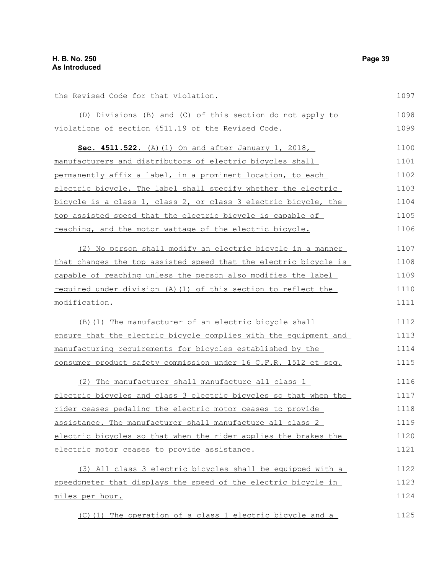| the Revised Code for that violation.                             | 1097 |
|------------------------------------------------------------------|------|
| (D) Divisions (B) and (C) of this section do not apply to        | 1098 |
| violations of section 4511.19 of the Revised Code.               | 1099 |
| Sec. 4511.522. (A) (1) On and after January 1, 2018,             | 1100 |
| manufacturers and distributors of electric bicycles shall        | 1101 |
| permanently affix a label, in a prominent location, to each      | 1102 |
| electric bicycle. The label shall specify whether the electric   | 1103 |
| bicycle is a class 1, class 2, or class 3 electric bicycle, the  | 1104 |
| top assisted speed that the electric bicycle is capable of       | 1105 |
| reaching, and the motor wattage of the electric bicycle.         | 1106 |
| (2) No person shall modify an electric bicycle in a manner       | 1107 |
| that changes the top assisted speed that the electric bicycle is | 1108 |
| capable of reaching unless the person also modifies the label    | 1109 |
| required under division (A) (1) of this section to reflect the   | 1110 |
| <u>modification.</u>                                             | 1111 |
| (B) (1) The manufacturer of an electric bicycle shall            | 1112 |
| ensure that the electric bicycle complies with the equipment and | 1113 |
| manufacturing requirements for bicycles established by the       | 1114 |
| consumer product safety commission under 16 C.F.R. 1512 et seq.  | 1115 |
| (2) The manufacturer shall manufacture all class 1               | 1116 |
| electric bicycles and class 3 electric bicycles so that when the | 1117 |
| rider ceases pedaling the electric motor ceases to provide       | 1118 |
| assistance. The manufacturer shall manufacture all class 2       | 1119 |
| electric bicycles so that when the rider applies the brakes the  | 1120 |
| electric motor ceases to provide assistance.                     | 1121 |
| (3) All class 3 electric bicycles shall be equipped with a       | 1122 |
| speedometer that displays the speed of the electric bicycle in   | 1123 |
| miles per hour.                                                  | 1124 |
| (C) (1) The operation of a class 1 electric bicycle and a        | 1125 |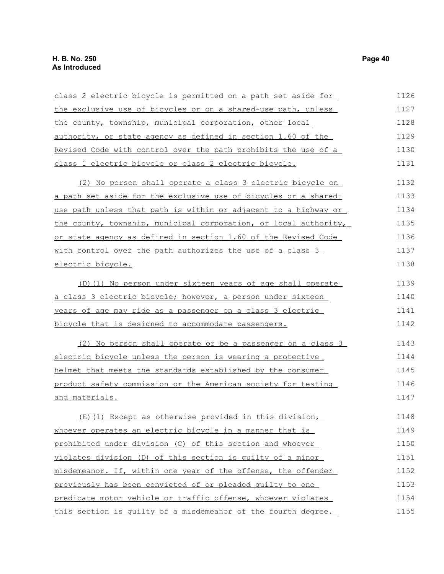| class 2 electric bicycle is permitted on a path set aside for    | 1126 |
|------------------------------------------------------------------|------|
| the exclusive use of bicycles or on a shared-use path, unless    | 1127 |
| the county, township, municipal corporation, other local         | 1128 |
| authority, or state agency as defined in section 1.60 of the     | 1129 |
| Revised Code with control over the path prohibits the use of a   | 1130 |
| class 1 electric bicycle or class 2 electric bicycle.            | 1131 |
| (2) No person shall operate a class 3 electric bicycle on        | 1132 |
| a path set aside for the exclusive use of bicycles or a shared-  | 1133 |
| use path unless that path is within or adjacent to a highway or  | 1134 |
| the county, township, municipal corporation, or local authority, | 1135 |
| or state agency as defined in section 1.60 of the Revised Code   | 1136 |
| with control over the path authorizes the use of a class 3       | 1137 |
| electric bicycle.                                                | 1138 |
| (D)(1) No person under sixteen years of age shall operate        | 1139 |
| a class 3 electric bicycle; however, a person under sixteen      | 1140 |
| years of age may ride as a passenger on a class 3 electric       | 1141 |
| bicycle that is designed to accommodate passengers.              | 1142 |
| (2) No person shall operate or be a passenger on a class 3       | 1143 |
| electric bicycle unless the person is wearing a protective       | 1144 |
| helmet that meets the standards established by the consumer      | 1145 |
| product safety commission or the American society for testing    | 1146 |
| and materials.                                                   | 1147 |
| $(E)$ $(1)$<br>Except as otherwise provided in this division,    | 1148 |
| whoever operates an electric bicycle in a manner that is         | 1149 |
| prohibited under division (C) of this section and whoever        | 1150 |
| violates division (D) of this section is quilty of a minor       | 1151 |
| misdemeanor. If, within one year of the offense, the offender    | 1152 |
| previously has been convicted of or pleaded quilty to one        | 1153 |
| predicate motor vehicle or traffic offense, whoever violates     | 1154 |
| this section is quilty of a misdemeanor of the fourth degree.    | 1155 |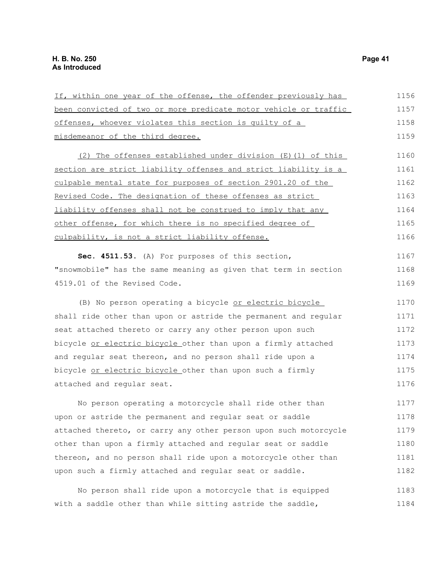| If, within one year of the offense, the offender previously has  | 1156 |
|------------------------------------------------------------------|------|
| been convicted of two or more predicate motor vehicle or traffic | 1157 |
| offenses, whoever violates this section is quilty of a           | 1158 |
| misdemeanor of the third degree.                                 | 1159 |
| (2) The offenses established under division (E) (1) of this      | 1160 |
| section are strict liability offenses and strict liability is a  | 1161 |
| culpable mental state for purposes of section 2901.20 of the     | 1162 |
| Revised Code. The designation of these offenses as strict        | 1163 |
| liability offenses shall not be construed to imply that any      | 1164 |
| other offense, for which there is no specified degree of         | 1165 |
| culpability, is not a strict liability offense.                  | 1166 |
| Sec. 4511.53. (A) For purposes of this section,                  | 1167 |
| "snowmobile" has the same meaning as given that term in section  | 1168 |
| 4519.01 of the Revised Code.                                     | 1169 |
| (B) No person operating a bicycle or electric bicycle            | 1170 |
| shall ride other than upon or astride the permanent and regular  | 1171 |
| seat attached thereto or carry any other person upon such        | 1172 |
| bicycle or electric bicycle other than upon a firmly attached    | 1173 |
| and regular seat thereon, and no person shall ride upon a        | 1174 |
| bicycle or electric bicycle other than upon such a firmly        | 1175 |
| attached and regular seat.                                       | 1176 |
| No person operating a motorcycle shall ride other than           | 1177 |
| upon or astride the permanent and regular seat or saddle         | 1178 |
| attached thereto, or carry any other person upon such motorcycle | 1179 |
| other than upon a firmly attached and regular seat or saddle     | 1180 |
| thereon, and no person shall ride upon a motorcycle other than   | 1181 |
| upon such a firmly attached and regular seat or saddle.          | 1182 |

No person shall ride upon a motorcycle that is equipped with a saddle other than while sitting astride the saddle, 1183 1184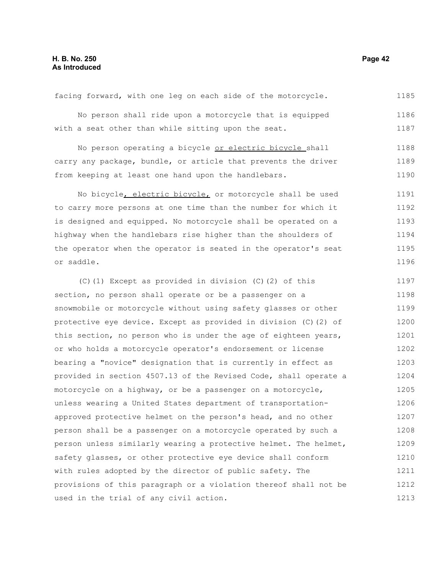No person shall ride upon a motorcycle that is equipped with a seat other than while sitting upon the seat. No person operating a bicycle or electric bicycle shall carry any package, bundle, or article that prevents the driver from keeping at least one hand upon the handlebars. No bicycle, electric bicycle, or motorcycle shall be used to carry more persons at one time than the number for which it is designed and equipped. No motorcycle shall be operated on a highway when the handlebars rise higher than the shoulders of the operator when the operator is seated in the operator's seat or saddle. (C)(1) Except as provided in division (C)(2) of this section, no person shall operate or be a passenger on a snowmobile or motorcycle without using safety glasses or other protective eye device. Except as provided in division (C)(2) of this section, no person who is under the age of eighteen years, or who holds a motorcycle operator's endorsement or license bearing a "novice" designation that is currently in effect as provided in section 4507.13 of the Revised Code, shall operate a motorcycle on a highway, or be a passenger on a motorcycle, unless wearing a United States department of transportationapproved protective helmet on the person's head, and no other person shall be a passenger on a motorcycle operated by such a person unless similarly wearing a protective helmet. The helmet, safety glasses, or other protective eye device shall conform with rules adopted by the director of public safety. The provisions of this paragraph or a violation thereof shall not be 1186 1187 1188 1189 1190 1191 1192 1193 1194 1195 1196 1197 1198 1199 1200 1201 1202 1203 1204 1205 1206 1207 1208 1209 1210 1211 1212

used in the trial of any civil action.

facing forward, with one leg on each side of the motorcycle.

1185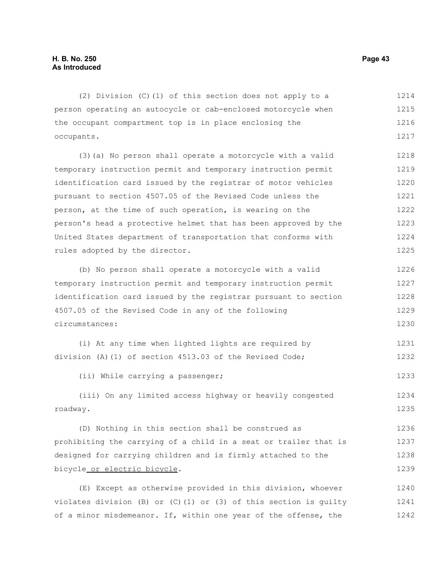occupants.

circumstances:

(2) Division (C)(1) of this section does not apply to a person operating an autocycle or cab-enclosed motorcycle when the occupant compartment top is in place enclosing the (3)(a) No person shall operate a motorcycle with a valid temporary instruction permit and temporary instruction permit identification card issued by the registrar of motor vehicles pursuant to section 4507.05 of the Revised Code unless the person, at the time of such operation, is wearing on the person's head a protective helmet that has been approved by the United States department of transportation that conforms with rules adopted by the director. (b) No person shall operate a motorcycle with a valid temporary instruction permit and temporary instruction permit identification card issued by the registrar pursuant to section 4507.05 of the Revised Code in any of the following 1214 1215 1216 1217 1218 1219 1220 1221 1222 1223 1224 1225 1226 1227 1228 1229 1230

(i) At any time when lighted lights are required by division (A)(1) of section 4513.03 of the Revised Code; 1231 1232

(ii) While carrying a passenger;

(iii) On any limited access highway or heavily congested roadway. 1234 1235

(D) Nothing in this section shall be construed as prohibiting the carrying of a child in a seat or trailer that is designed for carrying children and is firmly attached to the bicycle or electric bicycle. 1236 1237 1238 1239

(E) Except as otherwise provided in this division, whoever violates division (B) or (C)(1) or (3) of this section is quilty of a minor misdemeanor. If, within one year of the offense, the 1240 1241 1242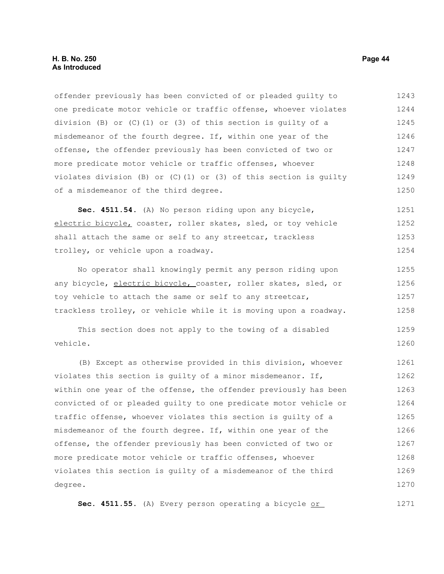offender previously has been convicted of or pleaded guilty to one predicate motor vehicle or traffic offense, whoever violates division (B) or (C)(1) or (3) of this section is guilty of a misdemeanor of the fourth degree. If, within one year of the offense, the offender previously has been convicted of two or more predicate motor vehicle or traffic offenses, whoever violates division (B) or (C)(1) or (3) of this section is guilty of a misdemeanor of the third degree. 1243 1244 1245 1246 1247 1248 1249 1250

**Sec. 4511.54.** (A) No person riding upon any bicycle, electric bicycle, coaster, roller skates, sled, or toy vehicle shall attach the same or self to any streetcar, trackless trolley, or vehicle upon a roadway. 1251 1252 1253 1254

No operator shall knowingly permit any person riding upon any bicycle, electric bicycle, coaster, roller skates, sled, or toy vehicle to attach the same or self to any streetcar, trackless trolley, or vehicle while it is moving upon a roadway. 1255 1256 1257 1258

This section does not apply to the towing of a disabled vehicle. 1259 1260

(B) Except as otherwise provided in this division, whoever violates this section is guilty of a minor misdemeanor. If, within one year of the offense, the offender previously has been convicted of or pleaded guilty to one predicate motor vehicle or traffic offense, whoever violates this section is guilty of a misdemeanor of the fourth degree. If, within one year of the offense, the offender previously has been convicted of two or more predicate motor vehicle or traffic offenses, whoever violates this section is guilty of a misdemeanor of the third degree. 1261 1262 1263 1264 1265 1266 1267 1268 1269 1270

Sec. 4511.55. (A) Every person operating a bicycle or 1271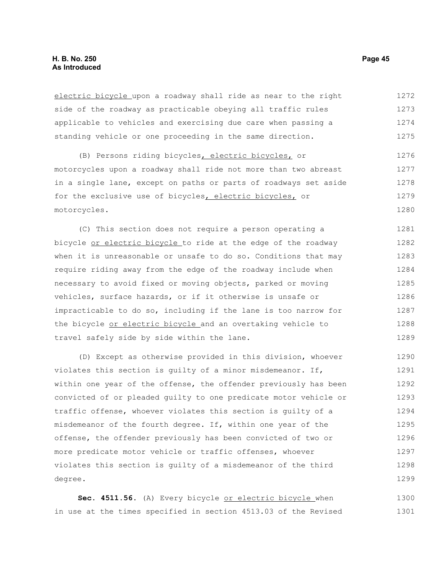#### **H. B. No. 250 Page 45 As Introduced**

electric bicycle upon a roadway shall ride as near to the right side of the roadway as practicable obeying all traffic rules applicable to vehicles and exercising due care when passing a standing vehicle or one proceeding in the same direction. 1272 1273 1274 1275

(B) Persons riding bicycles, electric bicycles, or motorcycles upon a roadway shall ride not more than two abreast in a single lane, except on paths or parts of roadways set aside for the exclusive use of bicycles, electric bicycles, or motorcycles. 1276 1277 1278 1279 1280

(C) This section does not require a person operating a bicycle or electric bicycle to ride at the edge of the roadway when it is unreasonable or unsafe to do so. Conditions that may require riding away from the edge of the roadway include when necessary to avoid fixed or moving objects, parked or moving vehicles, surface hazards, or if it otherwise is unsafe or impracticable to do so, including if the lane is too narrow for the bicycle or electric bicycle and an overtaking vehicle to travel safely side by side within the lane. 1281 1282 1283 1284 1285 1286 1287 1288 1289

(D) Except as otherwise provided in this division, whoever violates this section is guilty of a minor misdemeanor. If, within one year of the offense, the offender previously has been convicted of or pleaded guilty to one predicate motor vehicle or traffic offense, whoever violates this section is guilty of a misdemeanor of the fourth degree. If, within one year of the offense, the offender previously has been convicted of two or more predicate motor vehicle or traffic offenses, whoever violates this section is guilty of a misdemeanor of the third degree. 1290 1291 1292 1293 1294 1295 1296 1297 1298 1299

Sec. 4511.56. (A) Every bicycle or electric bicycle when in use at the times specified in section 4513.03 of the Revised 1300 1301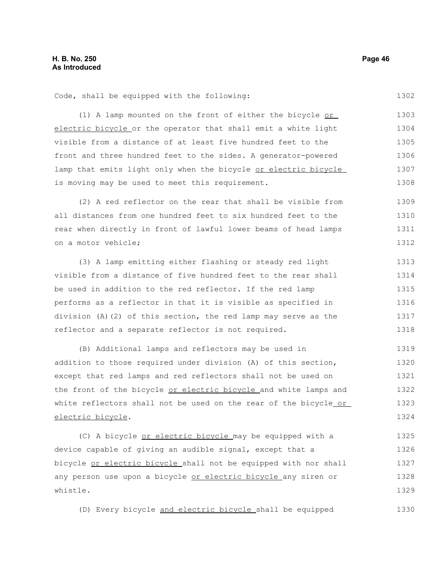Code, shall be equipped with the following:

1302

(1) A lamp mounted on the front of either the bicycle or electric bicycle or the operator that shall emit a white light visible from a distance of at least five hundred feet to the front and three hundred feet to the sides. A generator-powered lamp that emits light only when the bicycle or electric bicycle is moving may be used to meet this requirement. 1303 1304 1305 1306 1307 1308

(2) A red reflector on the rear that shall be visible from all distances from one hundred feet to six hundred feet to the rear when directly in front of lawful lower beams of head lamps on a motor vehicle; 1309 1310 1311 1312

(3) A lamp emitting either flashing or steady red light visible from a distance of five hundred feet to the rear shall be used in addition to the red reflector. If the red lamp performs as a reflector in that it is visible as specified in division (A)(2) of this section, the red lamp may serve as the reflector and a separate reflector is not required. 1313 1314 1315 1316 1317 1318

(B) Additional lamps and reflectors may be used in addition to those required under division (A) of this section, except that red lamps and red reflectors shall not be used on the front of the bicycle or electric bicycle and white lamps and white reflectors shall not be used on the rear of the bicycle or electric bicycle. 1319 1320 1321 1322 1323 1324

(C) A bicycle or electric bicycle may be equipped with a device capable of giving an audible signal, except that a bicycle or electric bicycle shall not be equipped with nor shall any person use upon a bicycle or electric bicycle any siren or whistle. 1325 1326 1327 1328 1329

(D) Every bicycle and electric bicycle shall be equipped 1330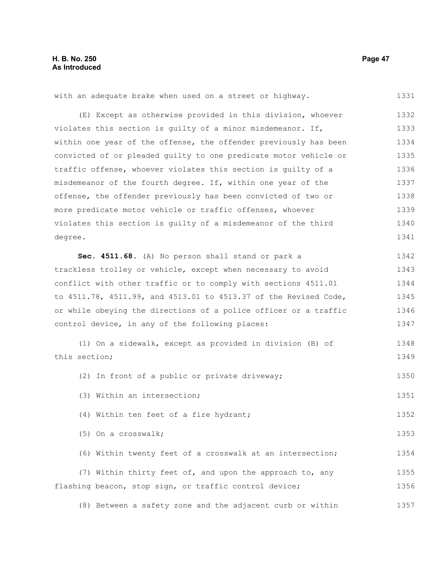1331

with an adequate brake when used on a street or highway.

(E) Except as otherwise provided in this division, whoever violates this section is guilty of a minor misdemeanor. If, within one year of the offense, the offender previously has been convicted of or pleaded guilty to one predicate motor vehicle or traffic offense, whoever violates this section is guilty of a misdemeanor of the fourth degree. If, within one year of the offense, the offender previously has been convicted of two or more predicate motor vehicle or traffic offenses, whoever violates this section is guilty of a misdemeanor of the third degree. 1332 1333 1334 1335 1336 1337 1338 1339 1340 1341

**Sec. 4511.68.** (A) No person shall stand or park a trackless trolley or vehicle, except when necessary to avoid conflict with other traffic or to comply with sections 4511.01 to 4511.78, 4511.99, and 4513.01 to 4513.37 of the Revised Code, or while obeying the directions of a police officer or a traffic control device, in any of the following places: 1342 1343 1344 1345 1346 1347

(1) On a sidewalk, except as provided in division (B) of this section; 1348 1349

(2) In front of a public or private driveway; 1350

(3) Within an intersection;

(4) Within ten feet of a fire hydrant;

(5) On a crosswalk;

1353

1351

1352

(6) Within twenty feet of a crosswalk at an intersection; (7) Within thirty feet of, and upon the approach to, any flashing beacon, stop sign, or traffic control device; 1354 1355 1356

(8) Between a safety zone and the adjacent curb or within 1357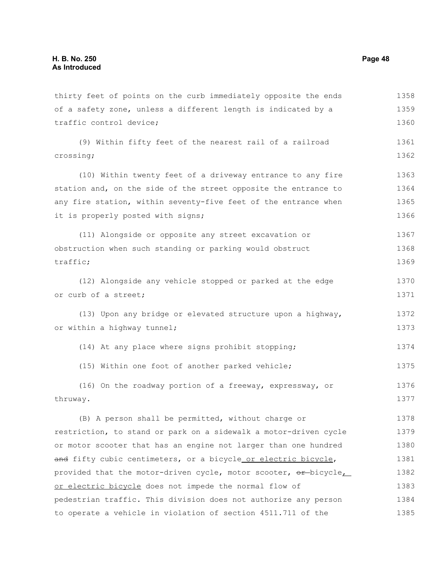thirty feet of points on the curb immediately opposite the ends of a safety zone, unless a different length is indicated by a traffic control device; (9) Within fifty feet of the nearest rail of a railroad crossing; (10) Within twenty feet of a driveway entrance to any fire station and, on the side of the street opposite the entrance to any fire station, within seventy-five feet of the entrance when it is properly posted with signs; (11) Alongside or opposite any street excavation or obstruction when such standing or parking would obstruct traffic; (12) Alongside any vehicle stopped or parked at the edge or curb of a street; (13) Upon any bridge or elevated structure upon a highway, or within a highway tunnel; (14) At any place where signs prohibit stopping; (15) Within one foot of another parked vehicle; (16) On the roadway portion of a freeway, expressway, or thruway. (B) A person shall be permitted, without charge or restriction, to stand or park on a sidewalk a motor-driven cycle or motor scooter that has an engine not larger than one hundred and fifty cubic centimeters, or a bicycle or electric bicycle, provided that the motor-driven cycle, motor scooter,  $e^+$  bicycle, or electric bicycle does not impede the normal flow of pedestrian traffic. This division does not authorize any person 1358 1359 1360 1361 1362 1363 1364 1365 1366 1367 1368 1369 1370 1371 1372 1373 1374 1375 1376 1377 1378 1379 1380 1381 1382 1383 1384

to operate a vehicle in violation of section 4511.711 of the 1385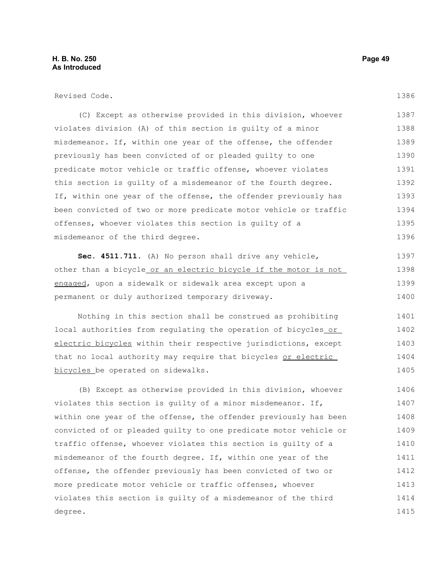#### Revised Code.

(C) Except as otherwise provided in this division, whoever violates division (A) of this section is guilty of a minor misdemeanor. If, within one year of the offense, the offender previously has been convicted of or pleaded guilty to one predicate motor vehicle or traffic offense, whoever violates this section is guilty of a misdemeanor of the fourth degree. If, within one year of the offense, the offender previously has been convicted of two or more predicate motor vehicle or traffic offenses, whoever violates this section is guilty of a misdemeanor of the third degree. 1387 1388 1389 1390 1391 1392 1393 1394 1395 1396

**Sec. 4511.711.** (A) No person shall drive any vehicle, other than a bicycle or an electric bicycle if the motor is not engaged, upon a sidewalk or sidewalk area except upon a permanent or duly authorized temporary driveway. 1397 1398 1399 1400

Nothing in this section shall be construed as prohibiting local authorities from regulating the operation of bicycles or electric bicycles within their respective jurisdictions, except that no local authority may require that bicycles or electric bicycles be operated on sidewalks. 1401 1402 1403 1404 1405

(B) Except as otherwise provided in this division, whoever violates this section is guilty of a minor misdemeanor. If, within one year of the offense, the offender previously has been convicted of or pleaded guilty to one predicate motor vehicle or traffic offense, whoever violates this section is guilty of a misdemeanor of the fourth degree. If, within one year of the offense, the offender previously has been convicted of two or more predicate motor vehicle or traffic offenses, whoever violates this section is guilty of a misdemeanor of the third degree. 1406 1407 1408 1409 1410 1411 1412 1413 1414 1415